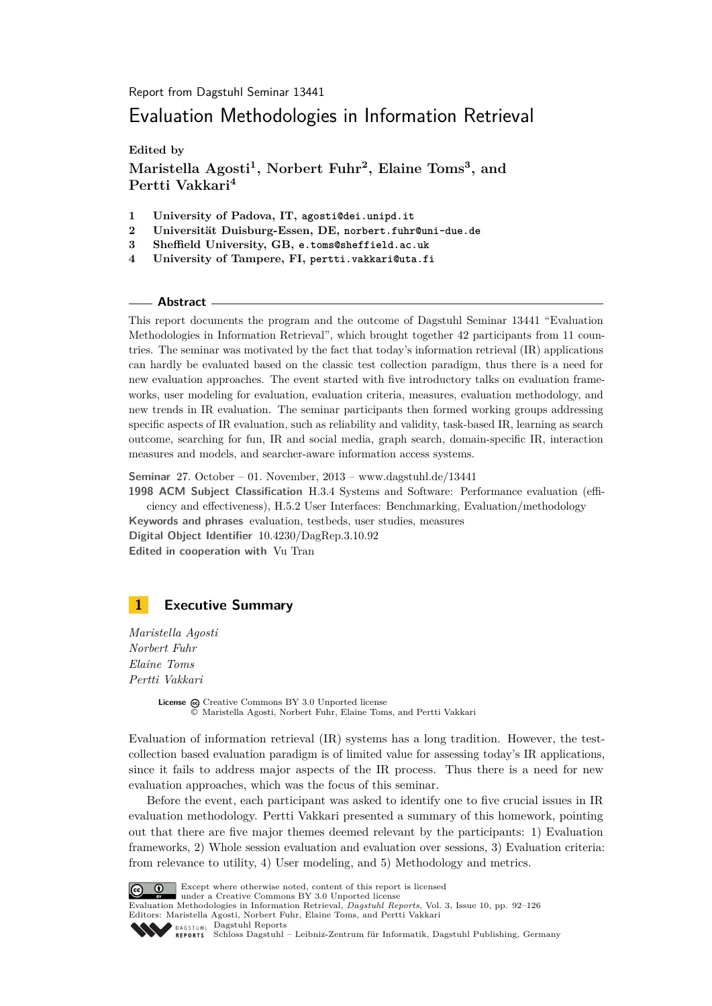Report from Dagstuhl Seminar 13441

# Evaluation Methodologies in Information Retrieval

**Edited by**

**Maristella Agosti<sup>1</sup> , Norbert Fuhr<sup>2</sup> , Elaine Toms<sup>3</sup> , and Pertti Vakkari<sup>4</sup>**

- **1 University of Padova, IT, agosti@dei.unipd.it**
- **2 Universität Duisburg-Essen, DE, norbert.fuhr@uni-due.de**
- **3 Sheffield University, GB, e.toms@sheffield.ac.uk**
- **4 University of Tampere, FI, pertti.vakkari@uta.fi**

### **Abstract**

This report documents the program and the outcome of Dagstuhl Seminar 13441 "Evaluation Methodologies in Information Retrieval", which brought together 42 participants from 11 countries. The seminar was motivated by the fact that today's information retrieval (IR) applications can hardly be evaluated based on the classic test collection paradigm, thus there is a need for new evaluation approaches. The event started with five introductory talks on evaluation frameworks, user modeling for evaluation, evaluation criteria, measures, evaluation methodology, and new trends in IR evaluation. The seminar participants then formed working groups addressing specific aspects of IR evaluation, such as reliability and validity, task-based IR, learning as search outcome, searching for fun, IR and social media, graph search, domain-specific IR, interaction measures and models, and searcher-aware information access systems.

**Seminar** 27. October – 01. November, 2013 – [www.dagstuhl.de/13441](http://www.dagstuhl.de/13441)

**1998 ACM Subject Classification** H.3.4 Systems and Software: Performance evaluation (efficiency and effectiveness), H.5.2 User Interfaces: Benchmarking, Evaluation/methodology **Keywords and phrases** evaluation, testbeds, user studies, measures **Digital Object Identifier** [10.4230/DagRep.3.10.92](http://dx.doi.org/10.4230/DagRep.3.10.92)

**Edited in cooperation with** Vu Tran

# <span id="page-0-0"></span>**1 Executive Summary**

*Maristella Agosti Norbert Fuhr Elaine Toms Pertti Vakkari*

> License  $\textcircled{c}$  [Creative Commons BY 3.0 Unported](http://creativecommons.org/licenses/by/3.0/) license © [Maristella Agosti, Norbert Fuhr, Elaine Toms, and Pertti Vakkari](#page-0-0)

Evaluation of information retrieval (IR) systems has a long tradition. However, the testcollection based evaluation paradigm is of limited value for assessing today's IR applications, since it fails to address major aspects of the IR process. Thus there is a need for new evaluation approaches, which was the focus of this seminar.

Before the event, each participant was asked to identify one to five crucial issues in IR evaluation methodology. Pertti Vakkari presented a summary of this homework, pointing out that there are five major themes deemed relevant by the participants: 1) Evaluation frameworks, 2) Whole session evaluation and evaluation over sessions, 3) Evaluation criteria: from relevance to utility, 4) User modeling, and 5) Methodology and metrics.



Except where otherwise noted, content of this report is licensed

under a [Creative Commons BY 3.0 Unported](http://creativecommons.org/licenses/by/3.0/) license

Evaluation Methodologies in Information Retrieval, *Dagstuhl Reports*, Vol. 3, Issue 10, pp. 92[–126](#page-34-0) Editors: Maristella Agosti, Norbert Fuhr, Elaine Toms, and Pertti Vakkari DAGSTUHL [Dagstuhl Reports](http://www.dagstuhl.de/dagstuhl-reports/)



[Schloss Dagstuhl – Leibniz-Zentrum für Informatik, Dagstuhl Publishing, Germany](http://www.dagstuhl.de)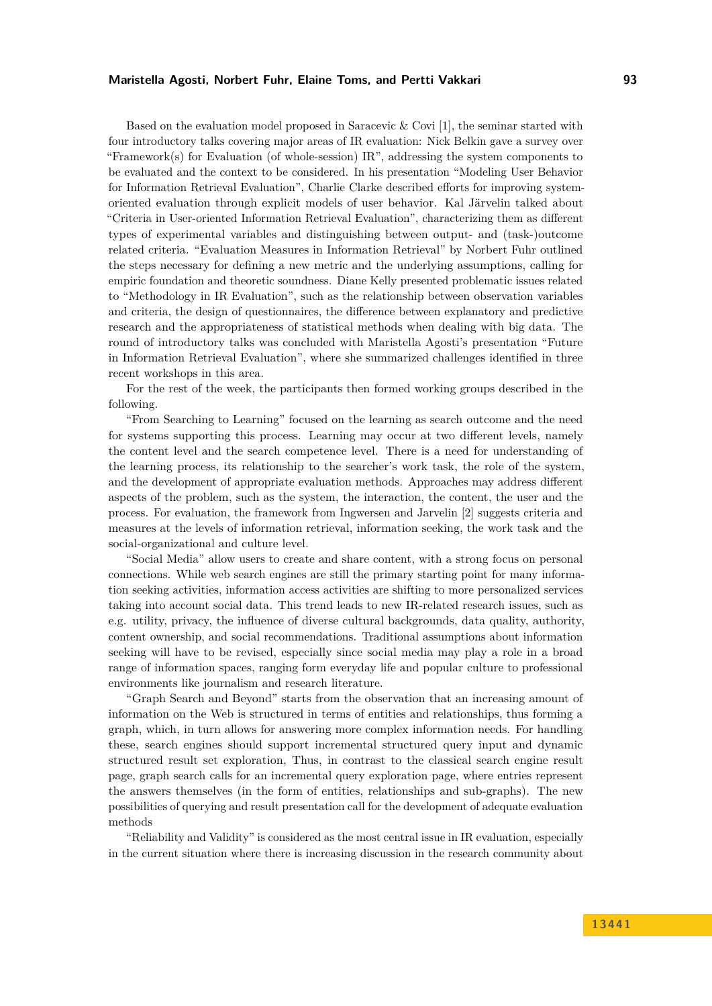# **Maristella Agosti, Norbert Fuhr, Elaine Toms, and Pertti Vakkari 93**

Based on the evaluation model proposed in Saracevic & Covi [\[1\]](#page-2-0), the seminar started with four introductory talks covering major areas of IR evaluation: Nick Belkin gave a survey over "Framework(s) for Evaluation (of whole-session) IR", addressing the system components to be evaluated and the context to be considered. In his presentation "Modeling User Behavior for Information Retrieval Evaluation", Charlie Clarke described efforts for improving systemoriented evaluation through explicit models of user behavior. Kal Järvelin talked about "Criteria in User-oriented Information Retrieval Evaluation", characterizing them as different types of experimental variables and distinguishing between output- and (task-)outcome related criteria. "Evaluation Measures in Information Retrieval" by Norbert Fuhr outlined the steps necessary for defining a new metric and the underlying assumptions, calling for empiric foundation and theoretic soundness. Diane Kelly presented problematic issues related to "Methodology in IR Evaluation", such as the relationship between observation variables and criteria, the design of questionnaires, the difference between explanatory and predictive research and the appropriateness of statistical methods when dealing with big data. The round of introductory talks was concluded with Maristella Agosti's presentation "Future in Information Retrieval Evaluation", where she summarized challenges identified in three recent workshops in this area.

For the rest of the week, the participants then formed working groups described in the following.

"From Searching to Learning" focused on the learning as search outcome and the need for systems supporting this process. Learning may occur at two different levels, namely the content level and the search competence level. There is a need for understanding of the learning process, its relationship to the searcher's work task, the role of the system, and the development of appropriate evaluation methods. Approaches may address different aspects of the problem, such as the system, the interaction, the content, the user and the process. For evaluation, the framework from Ingwersen and Jarvelin [\[2\]](#page-2-1) suggests criteria and measures at the levels of information retrieval, information seeking, the work task and the social-organizational and culture level.

"Social Media" allow users to create and share content, with a strong focus on personal connections. While web search engines are still the primary starting point for many information seeking activities, information access activities are shifting to more personalized services taking into account social data. This trend leads to new IR-related research issues, such as e.g. utility, privacy, the influence of diverse cultural backgrounds, data quality, authority, content ownership, and social recommendations. Traditional assumptions about information seeking will have to be revised, especially since social media may play a role in a broad range of information spaces, ranging form everyday life and popular culture to professional environments like journalism and research literature.

"Graph Search and Beyond" starts from the observation that an increasing amount of information on the Web is structured in terms of entities and relationships, thus forming a graph, which, in turn allows for answering more complex information needs. For handling these, search engines should support incremental structured query input and dynamic structured result set exploration, Thus, in contrast to the classical search engine result page, graph search calls for an incremental query exploration page, where entries represent the answers themselves (in the form of entities, relationships and sub-graphs). The new possibilities of querying and result presentation call for the development of adequate evaluation methods

"Reliability and Validity" is considered as the most central issue in IR evaluation, especially in the current situation where there is increasing discussion in the research community about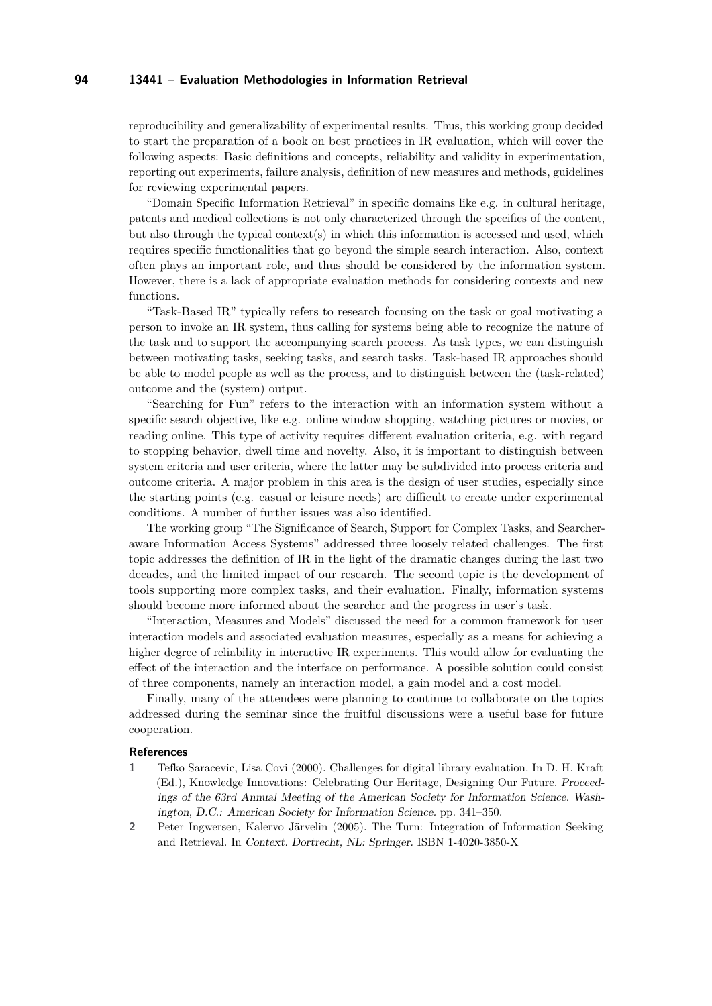reproducibility and generalizability of experimental results. Thus, this working group decided to start the preparation of a book on best practices in IR evaluation, which will cover the following aspects: Basic definitions and concepts, reliability and validity in experimentation, reporting out experiments, failure analysis, definition of new measures and methods, guidelines for reviewing experimental papers.

"Domain Specific Information Retrieval" in specific domains like e.g. in cultural heritage, patents and medical collections is not only characterized through the specifics of the content, but also through the typical context(s) in which this information is accessed and used, which requires specific functionalities that go beyond the simple search interaction. Also, context often plays an important role, and thus should be considered by the information system. However, there is a lack of appropriate evaluation methods for considering contexts and new functions.

"Task-Based IR" typically refers to research focusing on the task or goal motivating a person to invoke an IR system, thus calling for systems being able to recognize the nature of the task and to support the accompanying search process. As task types, we can distinguish between motivating tasks, seeking tasks, and search tasks. Task-based IR approaches should be able to model people as well as the process, and to distinguish between the (task-related) outcome and the (system) output.

"Searching for Fun" refers to the interaction with an information system without a specific search objective, like e.g. online window shopping, watching pictures or movies, or reading online. This type of activity requires different evaluation criteria, e.g. with regard to stopping behavior, dwell time and novelty. Also, it is important to distinguish between system criteria and user criteria, where the latter may be subdivided into process criteria and outcome criteria. A major problem in this area is the design of user studies, especially since the starting points (e.g. casual or leisure needs) are difficult to create under experimental conditions. A number of further issues was also identified.

The working group "The Significance of Search, Support for Complex Tasks, and Searcheraware Information Access Systems" addressed three loosely related challenges. The first topic addresses the definition of IR in the light of the dramatic changes during the last two decades, and the limited impact of our research. The second topic is the development of tools supporting more complex tasks, and their evaluation. Finally, information systems should become more informed about the searcher and the progress in user's task.

"Interaction, Measures and Models" discussed the need for a common framework for user interaction models and associated evaluation measures, especially as a means for achieving a higher degree of reliability in interactive IR experiments. This would allow for evaluating the effect of the interaction and the interface on performance. A possible solution could consist of three components, namely an interaction model, a gain model and a cost model.

Finally, many of the attendees were planning to continue to collaborate on the topics addressed during the seminar since the fruitful discussions were a useful base for future cooperation.

#### **References**

- <span id="page-2-0"></span>**1** Tefko Saracevic, Lisa Covi (2000). Challenges for digital library evaluation. In D. H. Kraft (Ed.), Knowledge Innovations: Celebrating Our Heritage, Designing Our Future. Proceedings of the 63rd Annual Meeting of the American Society for Information Science. Washington, D.C.: American Society for Information Science. pp. 341–350.
- <span id="page-2-1"></span>**2** Peter Ingwersen, Kalervo Järvelin (2005). The Turn: Integration of Information Seeking and Retrieval. In Context. Dortrecht, NL: Springer. ISBN 1-4020-3850-X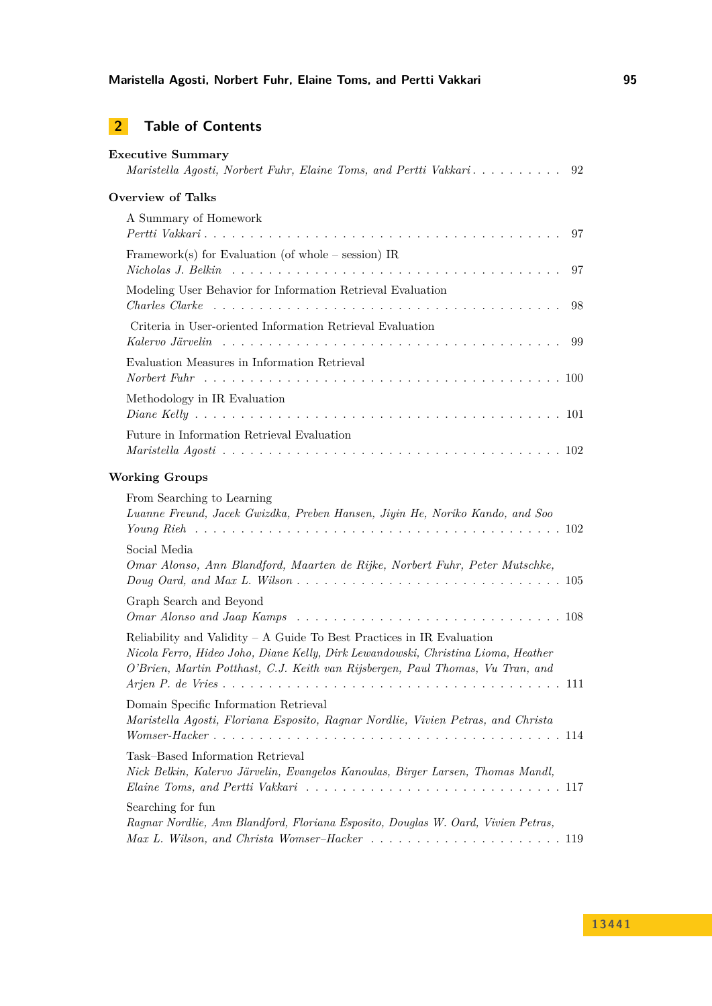# **2 Table of Contents**

| <b>Executive Summary</b><br>Maristella Agosti, Norbert Fuhr, Elaine Toms, and Pertti Vakkari<br>92                                                                                                                                           |
|----------------------------------------------------------------------------------------------------------------------------------------------------------------------------------------------------------------------------------------------|
| <b>Overview of Talks</b>                                                                                                                                                                                                                     |
| A Summary of Homework<br>97                                                                                                                                                                                                                  |
| Framework(s) for Evaluation (of whole $-$ session) IR<br>97                                                                                                                                                                                  |
| Modeling User Behavior for Information Retrieval Evaluation<br>98                                                                                                                                                                            |
| Criteria in User-oriented Information Retrieval Evaluation<br>99                                                                                                                                                                             |
| Evaluation Measures in Information Retrieval                                                                                                                                                                                                 |
| Methodology in IR Evaluation                                                                                                                                                                                                                 |
| Future in Information Retrieval Evaluation                                                                                                                                                                                                   |
| <b>Working Groups</b>                                                                                                                                                                                                                        |
| From Searching to Learning<br>Luanne Freund, Jacek Gwizdka, Preben Hansen, Jiyin He, Noriko Kando, and Soo                                                                                                                                   |
| Social Media<br>Omar Alonso, Ann Blandford, Maarten de Rijke, Norbert Fuhr, Peter Mutschke,                                                                                                                                                  |
| Graph Search and Beyond                                                                                                                                                                                                                      |
| Reliability and Validity – A Guide To Best Practices in IR Evaluation<br>Nicola Ferro, Hideo Joho, Diane Kelly, Dirk Lewandowski, Christina Lioma, Heather<br>O'Brien, Martin Potthast, C.J. Keith van Rijsbergen, Paul Thomas, Vu Tran, and |
| Domain Specific Information Retrieval<br>Maristella Agosti, Floriana Esposito, Ragnar Nordlie, Vivien Petras, and Christa                                                                                                                    |
| Task-Based Information Retrieval<br>Nick Belkin, Kalervo Järvelin, Evangelos Kanoulas, Birger Larsen, Thomas Mandl,                                                                                                                          |
| Searching for fun<br>Ragnar Nordlie, Ann Blandford, Floriana Esposito, Douglas W. Oard, Vivien Petras,                                                                                                                                       |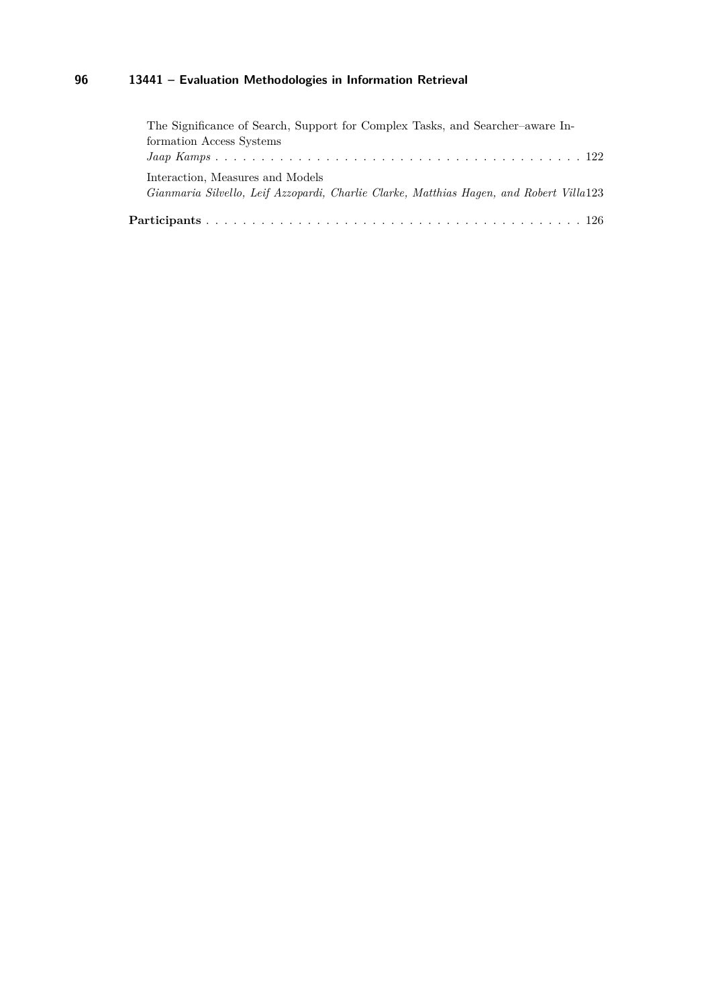| The Significance of Search, Support for Complex Tasks, and Searcher-aware In-           |
|-----------------------------------------------------------------------------------------|
| formation Access Systems                                                                |
|                                                                                         |
| Interaction, Measures and Models                                                        |
| Gianmaria Silvello, Leif Azzopardi, Charlie Clarke, Matthias Hagen, and Robert Villa123 |
|                                                                                         |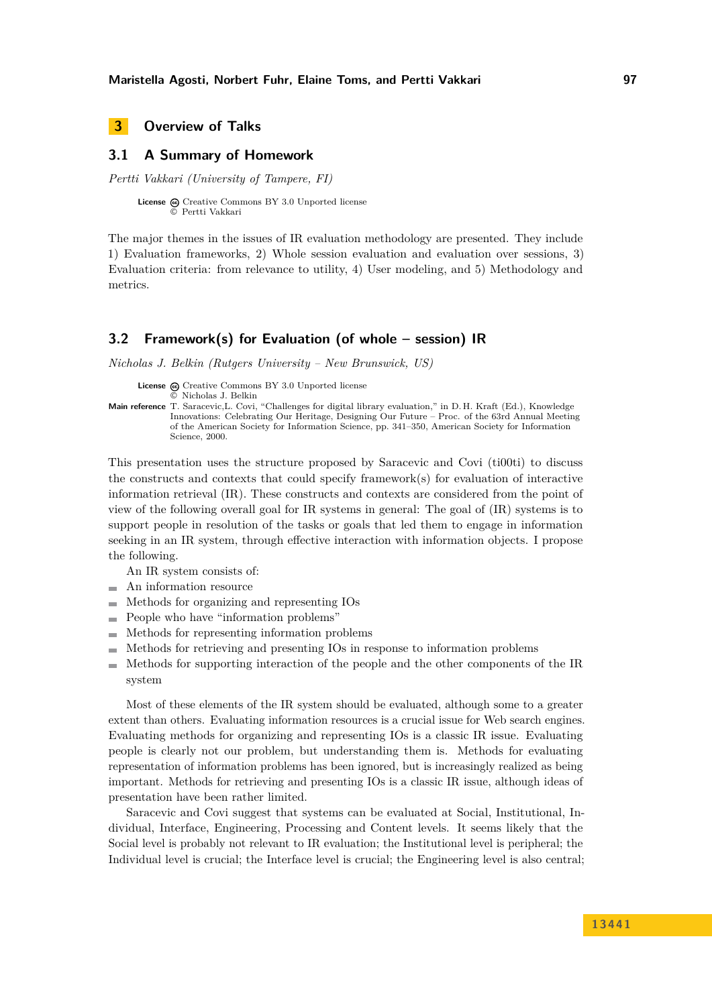<span id="page-5-0"></span>**3 Overview of Talks**

# <span id="page-5-1"></span>**3.1 A Summary of Homework**

*Pertti Vakkari (University of Tampere, FI)*

License  $\textcircled{c}$  [Creative Commons BY 3.0 Unported](http://creativecommons.org/licenses/by/3.0/) license © [Pertti Vakkari](#page-5-1)

The major themes in the issues of IR evaluation methodology are presented. They include 1) Evaluation frameworks, 2) Whole session evaluation and evaluation over sessions, 3) Evaluation criteria: from relevance to utility, 4) User modeling, and 5) Methodology and metrics.

# <span id="page-5-2"></span>**3.2 Framework(s) for Evaluation (of whole – session) IR**

*Nicholas J. Belkin (Rutgers University – New Brunswick, US)*

License  $\textcircled{c}$  [Creative Commons BY 3.0 Unported](http://creativecommons.org/licenses/by/3.0/) license © [Nicholas J. Belkin](#page-5-2)

**Main reference** [T. Saracevic,L. Covi, "Challenges for digital library evaluation," in D. H. Kraft \(Ed.\), Knowledge](T. Saracevic,L. Covi, ``Challenges for digital library evaluation,) [Innovations: Celebrating Our Heritage, Designing Our Future – Proc. of the 63rd Annual Meeting](T. Saracevic,L. Covi, ``Challenges for digital library evaluation,) [of the American Society for Information Science, pp. 341–350, American Society for Information](T. Saracevic,L. Covi, ``Challenges for digital library evaluation,) [Science, 2000.](T. Saracevic,L. Covi, ``Challenges for digital library evaluation,)

This presentation uses the structure proposed by Saracevic and Covi (ti00ti) to discuss the constructs and contexts that could specify framework(s) for evaluation of interactive information retrieval (IR). These constructs and contexts are considered from the point of view of the following overall goal for IR systems in general: The goal of (IR) systems is to support people in resolution of the tasks or goals that led them to engage in information seeking in an IR system, through effective interaction with information objects. I propose the following.

An IR system consists of:

- An information resource
- Methods for organizing and representing IOs
- People who have "information problems"
- $\equiv$ Methods for representing information problems
- Methods for retrieving and presenting IOs in response to information problems
- Methods for supporting interaction of the people and the other components of the IR  $\rightarrow$ system

Most of these elements of the IR system should be evaluated, although some to a greater extent than others. Evaluating information resources is a crucial issue for Web search engines. Evaluating methods for organizing and representing IOs is a classic IR issue. Evaluating people is clearly not our problem, but understanding them is. Methods for evaluating representation of information problems has been ignored, but is increasingly realized as being important. Methods for retrieving and presenting IOs is a classic IR issue, although ideas of presentation have been rather limited.

Saracevic and Covi suggest that systems can be evaluated at Social, Institutional, Individual, Interface, Engineering, Processing and Content levels. It seems likely that the Social level is probably not relevant to IR evaluation; the Institutional level is peripheral; the Individual level is crucial; the Interface level is crucial; the Engineering level is also central;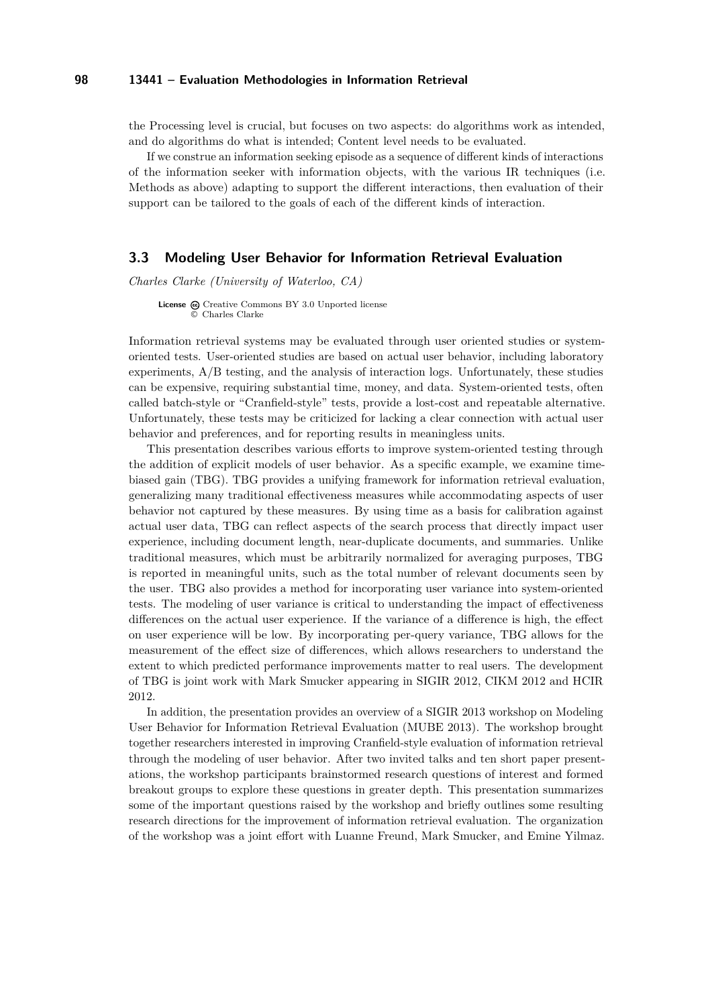the Processing level is crucial, but focuses on two aspects: do algorithms work as intended, and do algorithms do what is intended; Content level needs to be evaluated.

If we construe an information seeking episode as a sequence of different kinds of interactions of the information seeker with information objects, with the various IR techniques (i.e. Methods as above) adapting to support the different interactions, then evaluation of their support can be tailored to the goals of each of the different kinds of interaction.

### <span id="page-6-0"></span>**3.3 Modeling User Behavior for Information Retrieval Evaluation**

*Charles Clarke (University of Waterloo, CA)*

License  $\odot$  [Creative Commons BY 3.0 Unported](http://creativecommons.org/licenses/by/3.0/) license © [Charles Clarke](#page-6-0)

Information retrieval systems may be evaluated through user oriented studies or systemoriented tests. User-oriented studies are based on actual user behavior, including laboratory experiments, A/B testing, and the analysis of interaction logs. Unfortunately, these studies can be expensive, requiring substantial time, money, and data. System-oriented tests, often called batch-style or "Cranfield-style" tests, provide a lost-cost and repeatable alternative. Unfortunately, these tests may be criticized for lacking a clear connection with actual user behavior and preferences, and for reporting results in meaningless units.

This presentation describes various efforts to improve system-oriented testing through the addition of explicit models of user behavior. As a specific example, we examine timebiased gain (TBG). TBG provides a unifying framework for information retrieval evaluation, generalizing many traditional effectiveness measures while accommodating aspects of user behavior not captured by these measures. By using time as a basis for calibration against actual user data, TBG can reflect aspects of the search process that directly impact user experience, including document length, near-duplicate documents, and summaries. Unlike traditional measures, which must be arbitrarily normalized for averaging purposes, TBG is reported in meaningful units, such as the total number of relevant documents seen by the user. TBG also provides a method for incorporating user variance into system-oriented tests. The modeling of user variance is critical to understanding the impact of effectiveness differences on the actual user experience. If the variance of a difference is high, the effect on user experience will be low. By incorporating per-query variance, TBG allows for the measurement of the effect size of differences, which allows researchers to understand the extent to which predicted performance improvements matter to real users. The development of TBG is joint work with Mark Smucker appearing in SIGIR 2012, CIKM 2012 and HCIR 2012.

In addition, the presentation provides an overview of a SIGIR 2013 workshop on Modeling User Behavior for Information Retrieval Evaluation (MUBE 2013). The workshop brought together researchers interested in improving Cranfield-style evaluation of information retrieval through the modeling of user behavior. After two invited talks and ten short paper presentations, the workshop participants brainstormed research questions of interest and formed breakout groups to explore these questions in greater depth. This presentation summarizes some of the important questions raised by the workshop and briefly outlines some resulting research directions for the improvement of information retrieval evaluation. The organization of the workshop was a joint effort with Luanne Freund, Mark Smucker, and Emine Yilmaz.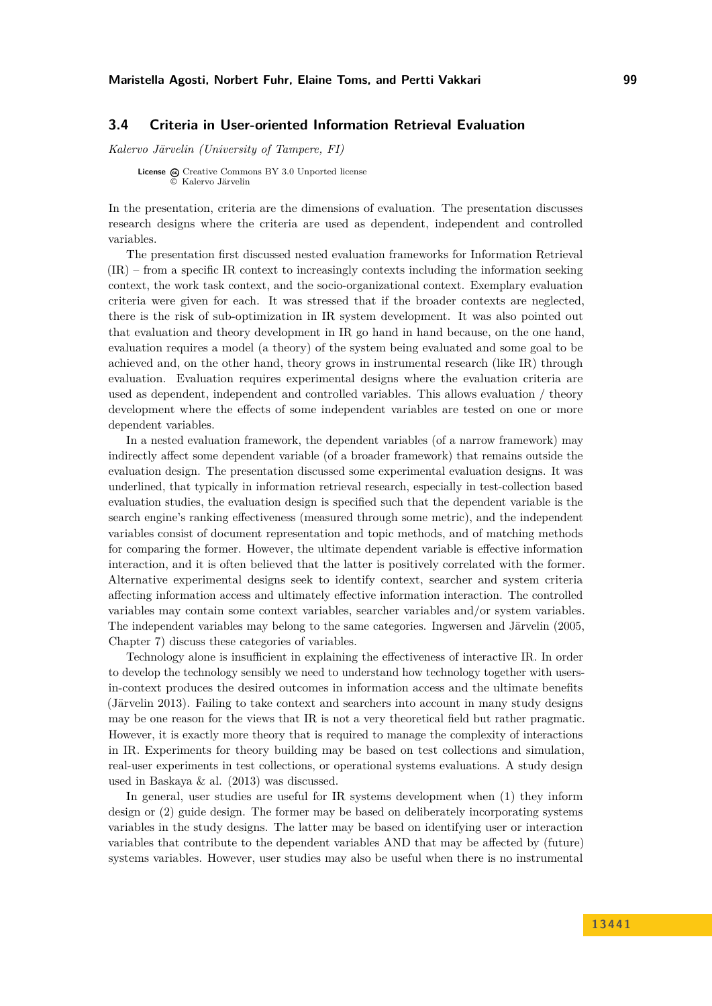# <span id="page-7-0"></span>**3.4 Criteria in User-oriented Information Retrieval Evaluation**

*Kalervo Järvelin (University of Tampere, FI)*

**License**  $\textcircled{c}$  [Creative Commons BY 3.0 Unported](http://creativecommons.org/licenses/by/3.0/) license © [Kalervo Järvelin](#page-7-0)

In the presentation, criteria are the dimensions of evaluation. The presentation discusses research designs where the criteria are used as dependent, independent and controlled variables.

The presentation first discussed nested evaluation frameworks for Information Retrieval (IR) – from a specific IR context to increasingly contexts including the information seeking context, the work task context, and the socio-organizational context. Exemplary evaluation criteria were given for each. It was stressed that if the broader contexts are neglected, there is the risk of sub-optimization in IR system development. It was also pointed out that evaluation and theory development in IR go hand in hand because, on the one hand, evaluation requires a model (a theory) of the system being evaluated and some goal to be achieved and, on the other hand, theory grows in instrumental research (like IR) through evaluation. Evaluation requires experimental designs where the evaluation criteria are used as dependent, independent and controlled variables. This allows evaluation / theory development where the effects of some independent variables are tested on one or more dependent variables.

In a nested evaluation framework, the dependent variables (of a narrow framework) may indirectly affect some dependent variable (of a broader framework) that remains outside the evaluation design. The presentation discussed some experimental evaluation designs. It was underlined, that typically in information retrieval research, especially in test-collection based evaluation studies, the evaluation design is specified such that the dependent variable is the search engine's ranking effectiveness (measured through some metric), and the independent variables consist of document representation and topic methods, and of matching methods for comparing the former. However, the ultimate dependent variable is effective information interaction, and it is often believed that the latter is positively correlated with the former. Alternative experimental designs seek to identify context, searcher and system criteria affecting information access and ultimately effective information interaction. The controlled variables may contain some context variables, searcher variables and/or system variables. The independent variables may belong to the same categories. Ingwersen and Järvelin (2005, Chapter 7) discuss these categories of variables.

Technology alone is insufficient in explaining the effectiveness of interactive IR. In order to develop the technology sensibly we need to understand how technology together with usersin-context produces the desired outcomes in information access and the ultimate benefits (Järvelin 2013). Failing to take context and searchers into account in many study designs may be one reason for the views that IR is not a very theoretical field but rather pragmatic. However, it is exactly more theory that is required to manage the complexity of interactions in IR. Experiments for theory building may be based on test collections and simulation, real-user experiments in test collections, or operational systems evaluations. A study design used in Baskaya & al. (2013) was discussed.

In general, user studies are useful for IR systems development when (1) they inform design or (2) guide design. The former may be based on deliberately incorporating systems variables in the study designs. The latter may be based on identifying user or interaction variables that contribute to the dependent variables AND that may be affected by (future) systems variables. However, user studies may also be useful when there is no instrumental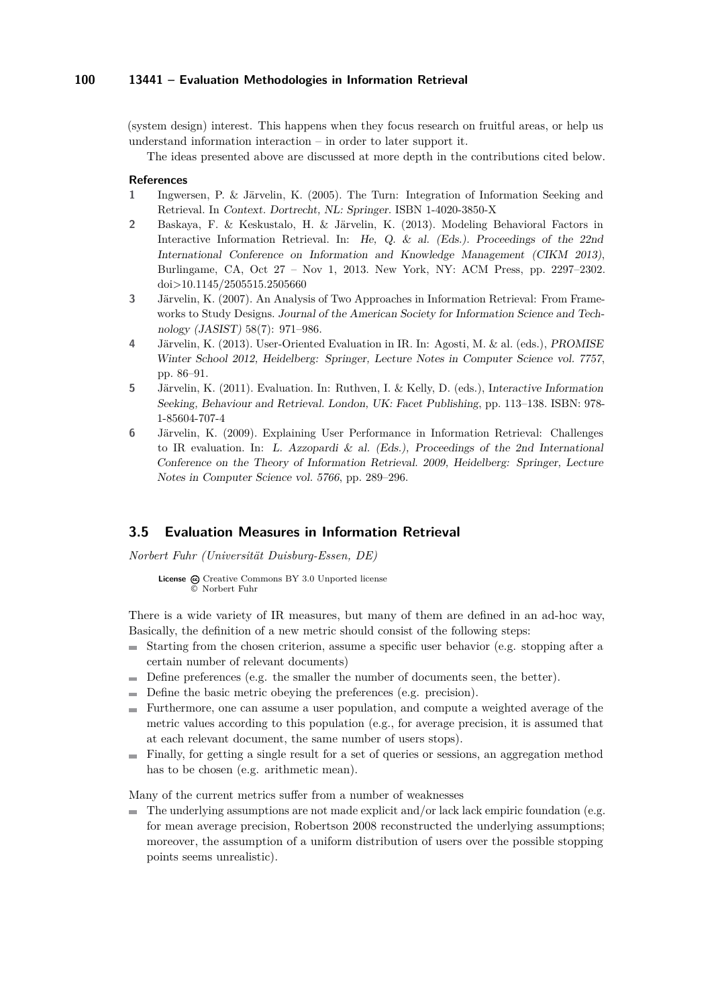(system design) interest. This happens when they focus research on fruitful areas, or help us understand information interaction – in order to later support it.

The ideas presented above are discussed at more depth in the contributions cited below.

#### **References**

- **1** Ingwersen, P. & Järvelin, K. (2005). The Turn: Integration of Information Seeking and Retrieval. In Context. Dortrecht, NL: Springer. ISBN 1-4020-3850-X
- **2** Baskaya, F. & Keskustalo, H. & Järvelin, K. (2013). Modeling Behavioral Factors in Interactive Information Retrieval. In: He, Q. & al. (Eds.). Proceedings of the 22nd International Conference on Information and Knowledge Management (CIKM 2013), Burlingame, CA, Oct 27 – Nov 1, 2013. New York, NY: ACM Press, pp. 2297–2302. doi>10.1145/2505515.2505660
- **3** Järvelin, K. (2007). An Analysis of Two Approaches in Information Retrieval: From Frameworks to Study Designs. Journal of the American Society for Information Science and Technology (JASIST) 58(7): 971–986.
- **4** Järvelin, K. (2013). User-Oriented Evaluation in IR. In: Agosti, M. & al. (eds.), PROMISE Winter School 2012, Heidelberg: Springer, Lecture Notes in Computer Science vol. 7757, pp. 86–91.
- **5** Järvelin, K. (2011). Evaluation. In: Ruthven, I. & Kelly, D. (eds.), Interactive Information Seeking, Behaviour and Retrieval. London, UK: Facet Publishing, pp. 113–138. ISBN: 978- 1-85604-707-4
- **6** Järvelin, K. (2009). Explaining User Performance in Information Retrieval: Challenges to IR evaluation. In: L. Azzopardi & al. (Eds.), Proceedings of the 2nd International Conference on the Theory of Information Retrieval. 2009, Heidelberg: Springer, Lecture Notes in Computer Science vol. 5766, pp. 289–296.

# <span id="page-8-0"></span>**3.5 Evaluation Measures in Information Retrieval**

*Norbert Fuhr (Universität Duisburg-Essen, DE)*

License  $\textcircled{e}$  [Creative Commons BY 3.0 Unported](http://creativecommons.org/licenses/by/3.0/) license © [Norbert Fuhr](#page-8-0)

There is a wide variety of IR measures, but many of them are defined in an ad-hoc way, Basically, the definition of a new metric should consist of the following steps:

- $\blacksquare$  Starting from the chosen criterion, assume a specific user behavior (e.g. stopping after a certain number of relevant documents)
- $\blacksquare$  Define preferences (e.g. the smaller the number of documents seen, the better).
- Define the basic metric obeying the preferences (e.g. precision).
- Furthermore, one can assume a user population, and compute a weighted average of the metric values according to this population (e.g., for average precision, it is assumed that at each relevant document, the same number of users stops).
- Finally, for getting a single result for a set of queries or sessions, an aggregation method has to be chosen (e.g. arithmetic mean).

Many of the current metrics suffer from a number of weaknesses

 $\blacksquare$  The underlying assumptions are not made explicit and/or lack lack empiric foundation (e.g. for mean average precision, Robertson 2008 reconstructed the underlying assumptions; moreover, the assumption of a uniform distribution of users over the possible stopping points seems unrealistic).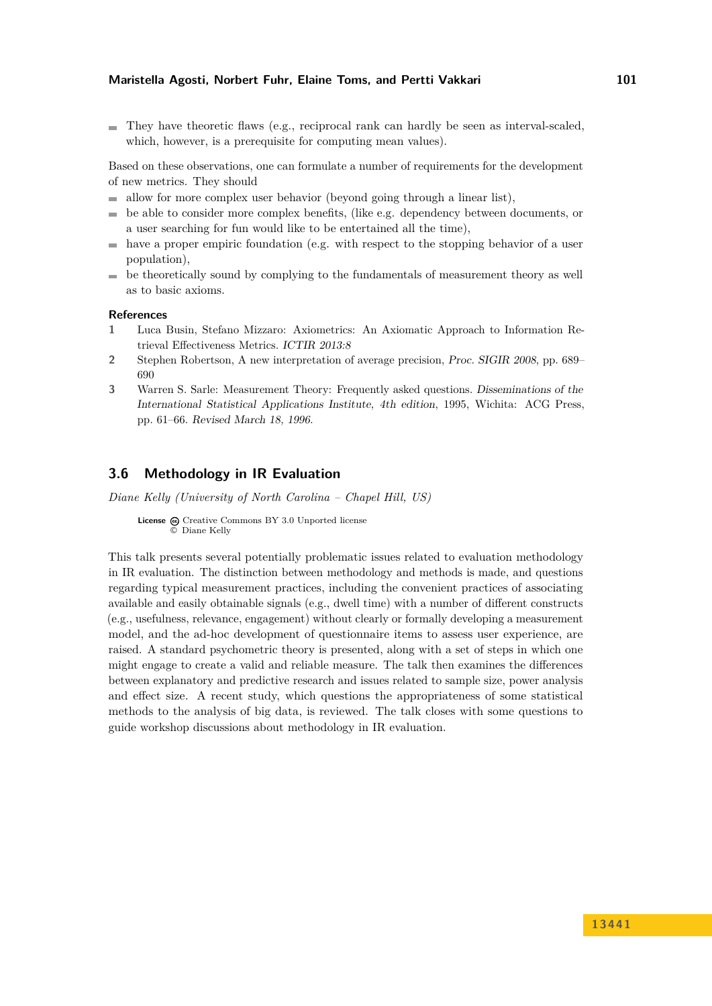$\blacksquare$  They have theoretic flaws (e.g., reciprocal rank can hardly be seen as interval-scaled, which, however, is a prerequisite for computing mean values).

Based on these observations, one can formulate a number of requirements for the development of new metrics. They should

- allow for more complex user behavior (beyond going through a linear list),  $\rightarrow$
- be able to consider more complex benefits, (like e.g. dependency between documents, or a user searching for fun would like to be entertained all the time),
- have a proper empiric foundation (e.g. with respect to the stopping behavior of a user population),
- be theoretically sound by complying to the fundamentals of measurement theory as well  $\sim$ as to basic axioms.

#### **References**

- **1** Luca Busin, Stefano Mizzaro: Axiometrics: An Axiomatic Approach to Information Retrieval Effectiveness Metrics. ICTIR 2013:8
- **2** Stephen Robertson, A new interpretation of average precision, Proc. SIGIR 2008, pp. 689– 690
- **3** Warren S. Sarle: Measurement Theory: Frequently asked questions. Disseminations of the International Statistical Applications Institute, 4th edition, 1995, Wichita: ACG Press, pp. 61–66. Revised March 18, 1996.

# <span id="page-9-0"></span>**3.6 Methodology in IR Evaluation**

*Diane Kelly (University of North Carolina – Chapel Hill, US)*

License  $\textcircled{c}$  [Creative Commons BY 3.0 Unported](http://creativecommons.org/licenses/by/3.0/) license © [Diane Kelly](#page-9-0)

This talk presents several potentially problematic issues related to evaluation methodology in IR evaluation. The distinction between methodology and methods is made, and questions regarding typical measurement practices, including the convenient practices of associating available and easily obtainable signals (e.g., dwell time) with a number of different constructs (e.g., usefulness, relevance, engagement) without clearly or formally developing a measurement model, and the ad-hoc development of questionnaire items to assess user experience, are raised. A standard psychometric theory is presented, along with a set of steps in which one might engage to create a valid and reliable measure. The talk then examines the differences between explanatory and predictive research and issues related to sample size, power analysis and effect size. A recent study, which questions the appropriateness of some statistical methods to the analysis of big data, is reviewed. The talk closes with some questions to guide workshop discussions about methodology in IR evaluation.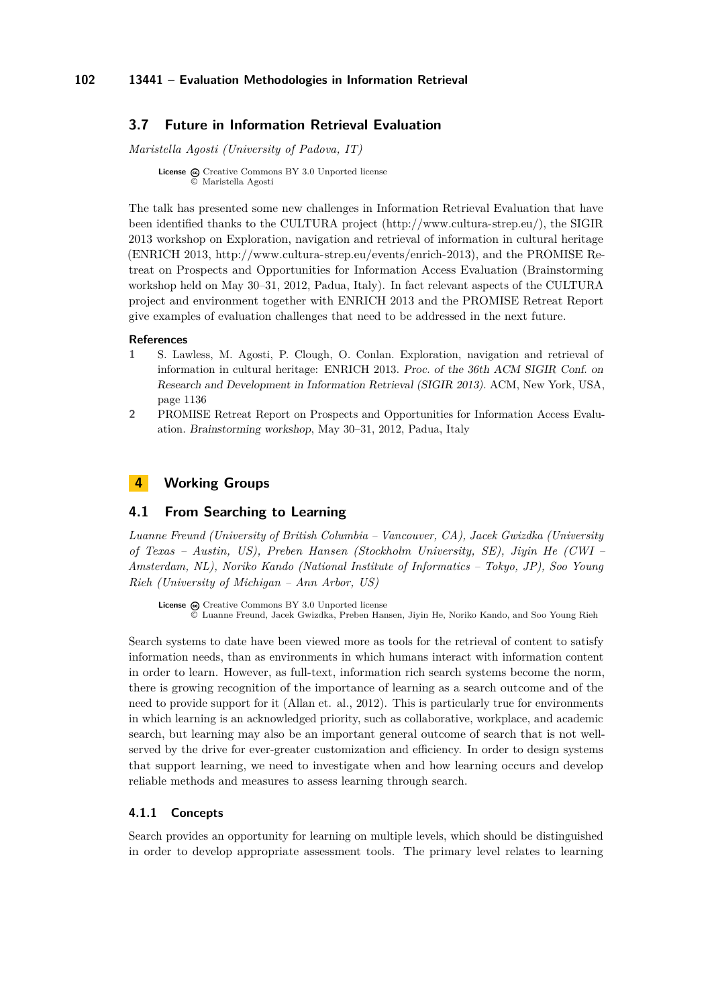# <span id="page-10-0"></span>**3.7 Future in Information Retrieval Evaluation**

*Maristella Agosti (University of Padova, IT)*

**License**  $\textcircled{e}$  [Creative Commons BY 3.0 Unported](http://creativecommons.org/licenses/by/3.0/) license © [Maristella Agosti](#page-10-0)

The talk has presented some new challenges in Information Retrieval Evaluation that have been identified thanks to the CULTURA project [\(http://www.cultura-strep.eu/\)](http://www.cultura-strep.eu/), the SIGIR 2013 workshop on Exploration, navigation and retrieval of information in cultural heritage (ENRICH 2013, [http://www.cultura-strep.eu/events/enrich-2013\)](http://www.cultura-strep.eu/events/enrich-2013), and the PROMISE Retreat on Prospects and Opportunities for Information Access Evaluation (Brainstorming workshop held on May 30–31, 2012, Padua, Italy). In fact relevant aspects of the CULTURA project and environment together with ENRICH 2013 and the PROMISE Retreat Report give examples of evaluation challenges that need to be addressed in the next future.

#### **References**

- **1** S. Lawless, M. Agosti, P. Clough, O. Conlan. Exploration, navigation and retrieval of information in cultural heritage: ENRICH 2013. Proc. of the 36th ACM SIGIR Conf. on Research and Development in Information Retrieval (SIGIR 2013). ACM, New York, USA, page 1136
- **2** PROMISE Retreat Report on Prospects and Opportunities for Information Access Evaluation. Brainstorming workshop, May 30–31, 2012, Padua, Italy

# <span id="page-10-1"></span>**4 Working Groups**

# <span id="page-10-2"></span>**4.1 From Searching to Learning**

*Luanne Freund (University of British Columbia – Vancouver, CA), Jacek Gwizdka (University of Texas – Austin, US), Preben Hansen (Stockholm University, SE), Jiyin He (CWI – Amsterdam, NL), Noriko Kando (National Institute of Informatics – Tokyo, JP), Soo Young Rieh (University of Michigan – Ann Arbor, US)*

License  $\textcircled{c}$  [Creative Commons BY 3.0 Unported](http://creativecommons.org/licenses/by/3.0/) license © [Luanne Freund, Jacek Gwizdka, Preben Hansen, Jiyin He, Noriko Kando, and Soo Young Rieh](#page-10-2)

Search systems to date have been viewed more as tools for the retrieval of content to satisfy information needs, than as environments in which humans interact with information content in order to learn. However, as full-text, information rich search systems become the norm, there is growing recognition of the importance of learning as a search outcome and of the need to provide support for it (Allan et. al., 2012). This is particularly true for environments in which learning is an acknowledged priority, such as collaborative, workplace, and academic search, but learning may also be an important general outcome of search that is not wellserved by the drive for ever-greater customization and efficiency. In order to design systems that support learning, we need to investigate when and how learning occurs and develop reliable methods and measures to assess learning through search.

### **4.1.1 Concepts**

Search provides an opportunity for learning on multiple levels, which should be distinguished in order to develop appropriate assessment tools. The primary level relates to learning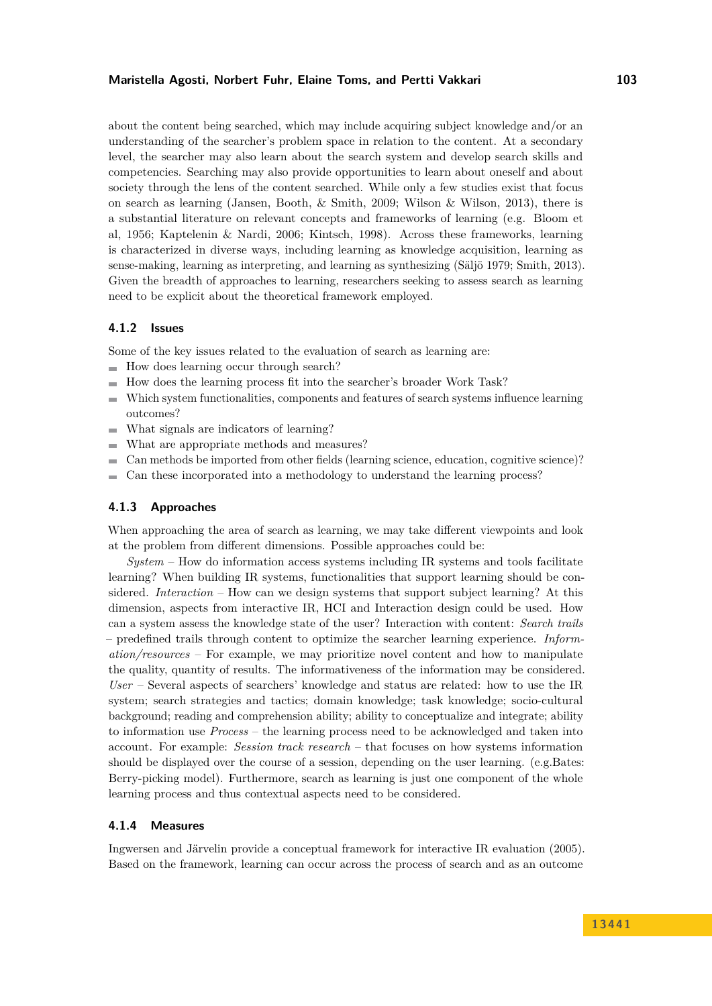### **Maristella Agosti, Norbert Fuhr, Elaine Toms, and Pertti Vakkari 103**

about the content being searched, which may include acquiring subject knowledge and/or an understanding of the searcher's problem space in relation to the content. At a secondary level, the searcher may also learn about the search system and develop search skills and competencies. Searching may also provide opportunities to learn about oneself and about society through the lens of the content searched. While only a few studies exist that focus on search as learning (Jansen, Booth, & Smith, 2009; Wilson & Wilson, 2013), there is a substantial literature on relevant concepts and frameworks of learning (e.g. Bloom et al, 1956; Kaptelenin & Nardi, 2006; Kintsch, 1998). Across these frameworks, learning is characterized in diverse ways, including learning as knowledge acquisition, learning as sense-making, learning as interpreting, and learning as synthesizing (Säljö 1979; Smith, 2013). Given the breadth of approaches to learning, researchers seeking to assess search as learning need to be explicit about the theoretical framework employed.

### **4.1.2 Issues**

Some of the key issues related to the evaluation of search as learning are:

- $\quad \blacksquare$  How does learning occur through search?
- How does the learning process fit into the searcher's broader Work Task?  $\rightarrow$
- Which system functionalities, components and features of search systems influence learning  $\overline{a}$ outcomes?
- What signals are indicators of learning?  $\sim$
- What are appropriate methods and measures?  $\sim$
- Can methods be imported from other fields (learning science, education, cognitive science)?
- Can these incorporated into a methodology to understand the learning process?

### **4.1.3 Approaches**

When approaching the area of search as learning, we may take different viewpoints and look at the problem from different dimensions. Possible approaches could be:

*System* – How do information access systems including IR systems and tools facilitate learning? When building IR systems, functionalities that support learning should be considered. *Interaction* – How can we design systems that support subject learning? At this dimension, aspects from interactive IR, HCI and Interaction design could be used. How can a system assess the knowledge state of the user? Interaction with content: *Search trails* – predefined trails through content to optimize the searcher learning experience. *Information/resources* – For example, we may prioritize novel content and how to manipulate the quality, quantity of results. The informativeness of the information may be considered. *User* – Several aspects of searchers' knowledge and status are related: how to use the IR system; search strategies and tactics; domain knowledge; task knowledge; socio-cultural background; reading and comprehension ability; ability to conceptualize and integrate; ability to information use *Process* – the learning process need to be acknowledged and taken into account. For example: *Session track research* – that focuses on how systems information should be displayed over the course of a session, depending on the user learning. (e.g.Bates: Berry-picking model). Furthermore, search as learning is just one component of the whole learning process and thus contextual aspects need to be considered.

#### **4.1.4 Measures**

Ingwersen and Järvelin provide a conceptual framework for interactive IR evaluation (2005). Based on the framework, learning can occur across the process of search and as an outcome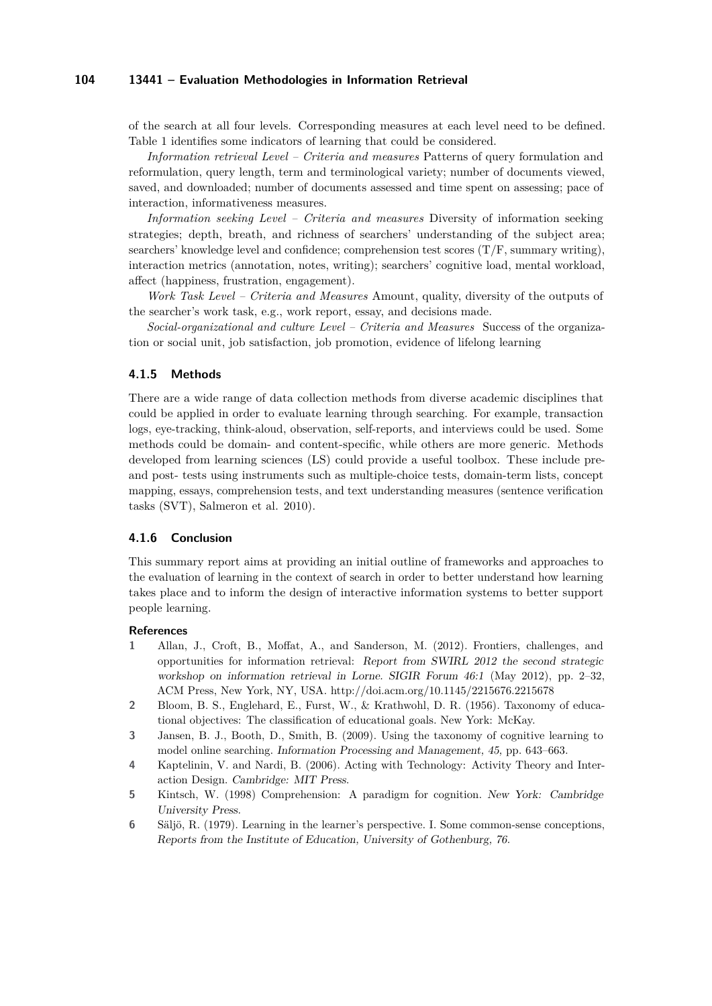of the search at all four levels. Corresponding measures at each level need to be defined. Table 1 identifies some indicators of learning that could be considered.

*Information retrieval Level – Criteria and measures* Patterns of query formulation and reformulation, query length, term and terminological variety; number of documents viewed, saved, and downloaded; number of documents assessed and time spent on assessing; pace of interaction, informativeness measures.

*Information seeking Level – Criteria and measures* Diversity of information seeking strategies; depth, breath, and richness of searchers' understanding of the subject area; searchers' knowledge level and confidence; comprehension test scores  $(T/F,$  summary writing), interaction metrics (annotation, notes, writing); searchers' cognitive load, mental workload, affect (happiness, frustration, engagement).

*Work Task Level – Criteria and Measures* Amount, quality, diversity of the outputs of the searcher's work task, e.g., work report, essay, and decisions made.

*Social-organizational and culture Level – Criteria and Measures* Success of the organization or social unit, job satisfaction, job promotion, evidence of lifelong learning

#### **4.1.5 Methods**

There are a wide range of data collection methods from diverse academic disciplines that could be applied in order to evaluate learning through searching. For example, transaction logs, eye-tracking, think-aloud, observation, self-reports, and interviews could be used. Some methods could be domain- and content-specific, while others are more generic. Methods developed from learning sciences (LS) could provide a useful toolbox. These include preand post- tests using instruments such as multiple-choice tests, domain-term lists, concept mapping, essays, comprehension tests, and text understanding measures (sentence verification tasks (SVT), Salmeron et al. 2010).

### **4.1.6 Conclusion**

This summary report aims at providing an initial outline of frameworks and approaches to the evaluation of learning in the context of search in order to better understand how learning takes place and to inform the design of interactive information systems to better support people learning.

### **References**

- **1** Allan, J., Croft, B., Moffat, A., and Sanderson, M. (2012). Frontiers, challenges, and opportunities for information retrieval: Report from SWIRL 2012 the second strategic workshop on information retrieval in Lorne. SIGIR Forum 46:1 (May 2012), pp. 2–32, ACM Press, New York, NY, USA. [http://doi.acm.org/10.1145/2215676.2215678](http://doi.acm.org/10.1145/2215676.2215678 )
- **2** Bloom, B. S., Englehard, E., Furst, W., & Krathwohl, D. R. (1956). Taxonomy of educational objectives: The classification of educational goals. New York: McKay.
- **3** Jansen, B. J., Booth, D., Smith, B. (2009). Using the taxonomy of cognitive learning to model online searching. Information Processing and Management, 45, pp. 643–663.
- **4** Kaptelinin, V. and Nardi, B. (2006). Acting with Technology: Activity Theory and Interaction Design. Cambridge: MIT Press.
- **5** Kintsch, W. (1998) Comprehension: A paradigm for cognition. New York: Cambridge University Press.
- **6** Säljö, R. (1979). Learning in the learner's perspective. I. Some common-sense conceptions, Reports from the Institute of Education, University of Gothenburg, 76.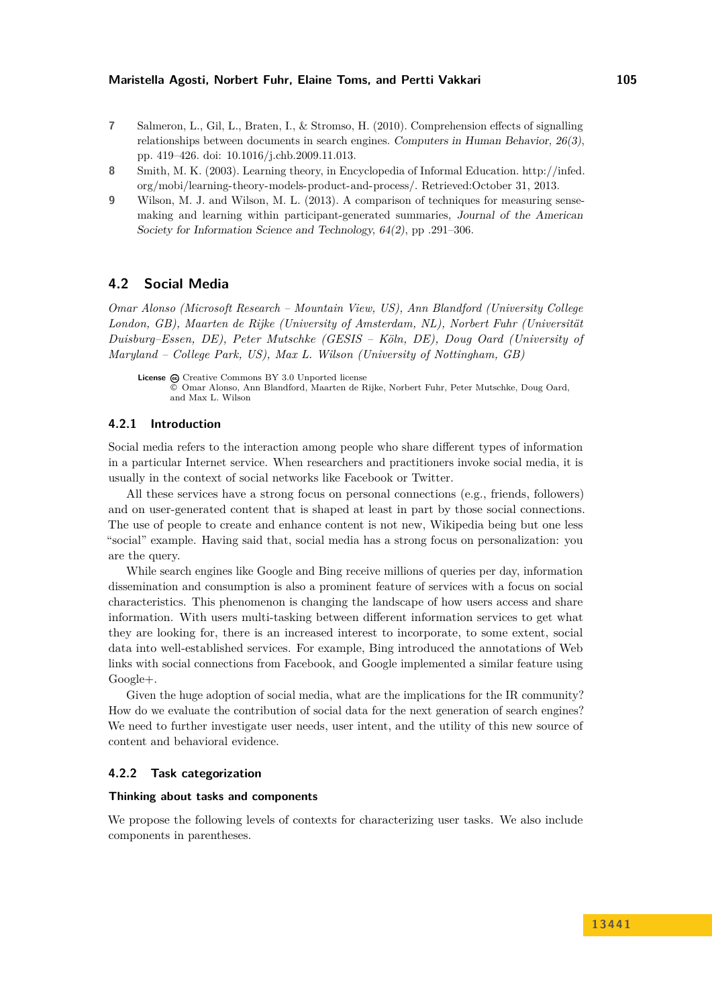- **7** Salmeron, L., Gil, L., Braten, I., & Stromso, H. (2010). Comprehension effects of signalling relationships between documents in search engines. Computers in Human Behavior, 26(3), pp. 419–426. [doi: 10.1016/j.chb.2009.11.013.](http://dx.doi.org/10.1016/j.chb.2009.11.013)
- **8** Smith, M. K. (2003). Learning theory, in Encyclopedia of Informal Education. [http://infed.](http://infed.org/mobi/learning-theory-models-product-and-process/) [org/mobi/learning-theory-models-product-and-process/.](http://infed.org/mobi/learning-theory-models-product-and-process/) Retrieved:October 31, 2013.
- **9** Wilson, M. J. and Wilson, M. L. (2013). A comparison of techniques for measuring sensemaking and learning within participant-generated summaries, Journal of the American Society for Information Science and Technology, 64(2), pp .291–306.

# <span id="page-13-0"></span>**4.2 Social Media**

*Omar Alonso (Microsoft Research – Mountain View, US), Ann Blandford (University College London, GB), Maarten de Rijke (University of Amsterdam, NL), Norbert Fuhr (Universität Duisburg–Essen, DE), Peter Mutschke (GESIS – Köln, DE), Doug Oard (University of Maryland – College Park, US), Max L. Wilson (University of Nottingham, GB)*

# **4.2.1 Introduction**

Social media refers to the interaction among people who share different types of information in a particular Internet service. When researchers and practitioners invoke social media, it is usually in the context of social networks like Facebook or Twitter.

All these services have a strong focus on personal connections (e.g., friends, followers) and on user-generated content that is shaped at least in part by those social connections. The use of people to create and enhance content is not new, Wikipedia being but one less "social" example. Having said that, social media has a strong focus on personalization: you are the query.

While search engines like Google and Bing receive millions of queries per day, information dissemination and consumption is also a prominent feature of services with a focus on social characteristics. This phenomenon is changing the landscape of how users access and share information. With users multi-tasking between different information services to get what they are looking for, there is an increased interest to incorporate, to some extent, social data into well-established services. For example, Bing introduced the annotations of Web links with social connections from Facebook, and Google implemented a similar feature using Google+.

Given the huge adoption of social media, what are the implications for the IR community? How do we evaluate the contribution of social data for the next generation of search engines? We need to further investigate user needs, user intent, and the utility of this new source of content and behavioral evidence.

#### **4.2.2 Task categorization**

#### **Thinking about tasks and components**

We propose the following levels of contexts for characterizing user tasks. We also include components in parentheses.

License  $\bigcirc$  [Creative Commons BY 3.0 Unported](http://creativecommons.org/licenses/by/3.0/) license © [Omar Alonso, Ann Blandford, Maarten de Rijke, Norbert Fuhr, Peter Mutschke, Doug Oard,](#page-13-0) [and Max L. Wilson](#page-13-0)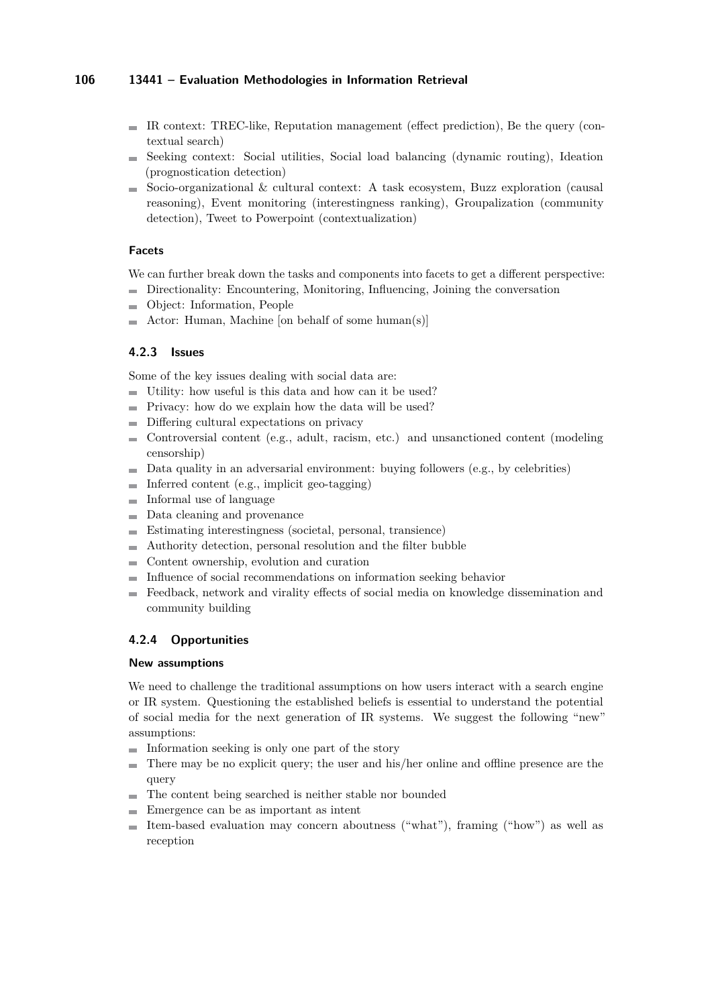- $\blacksquare$  IR context: TREC-like, Reputation management (effect prediction), Be the query (contextual search)
- Seeking context: Social utilities, Social load balancing (dynamic routing), Ideation (prognostication detection)
- Socio-organizational & cultural context: A task ecosystem, Buzz exploration (causal m. reasoning), Event monitoring (interestingness ranking), Groupalization (community detection), Tweet to Powerpoint (contextualization)

# **Facets**

We can further break down the tasks and components into facets to get a different perspective:

- Directionality: Encountering, Monitoring, Influencing, Joining the conversation
- Object: Information, People
- Actor: Human, Machine [on behalf of some human(s)]

# **4.2.3 Issues**

Some of the key issues dealing with social data are:

- Utility: how useful is this data and how can it be used?
- $\blacksquare$  Privacy: how do we explain how the data will be used?
- Differing cultural expectations on privacy
- Controversial content (e.g., adult, racism, etc.) and unsanctioned content (modeling  $\equiv$ censorship)
- Data quality in an adversarial environment: buying followers (e.g., by celebrities)  $\sim$
- $\blacksquare$  Inferred content (e.g., implicit geo-tagging)
- Informal use of language m.
- Data cleaning and provenance  $\equiv$
- Estimating interestingness (societal, personal, transience)  $\mathcal{L}_{\mathcal{A}}$
- Authority detection, personal resolution and the filter bubble
- Content ownership, evolution and curation
- Influence of social recommendations on information seeking behavior
- Feedback, network and virality effects of social media on knowledge dissemination and community building

# **4.2.4 Opportunities**

### **New assumptions**

We need to challenge the traditional assumptions on how users interact with a search engine or IR system. Questioning the established beliefs is essential to understand the potential of social media for the next generation of IR systems. We suggest the following "new" assumptions:

- $\blacksquare$  Information seeking is only one part of the story
- There may be no explicit query; the user and his/her online and offline presence are the query
- The content being searched is neither stable nor bounded m.
- Emergence can be as important as intent
- $\equiv$ Item-based evaluation may concern aboutness ("what"), framing ("how") as well as reception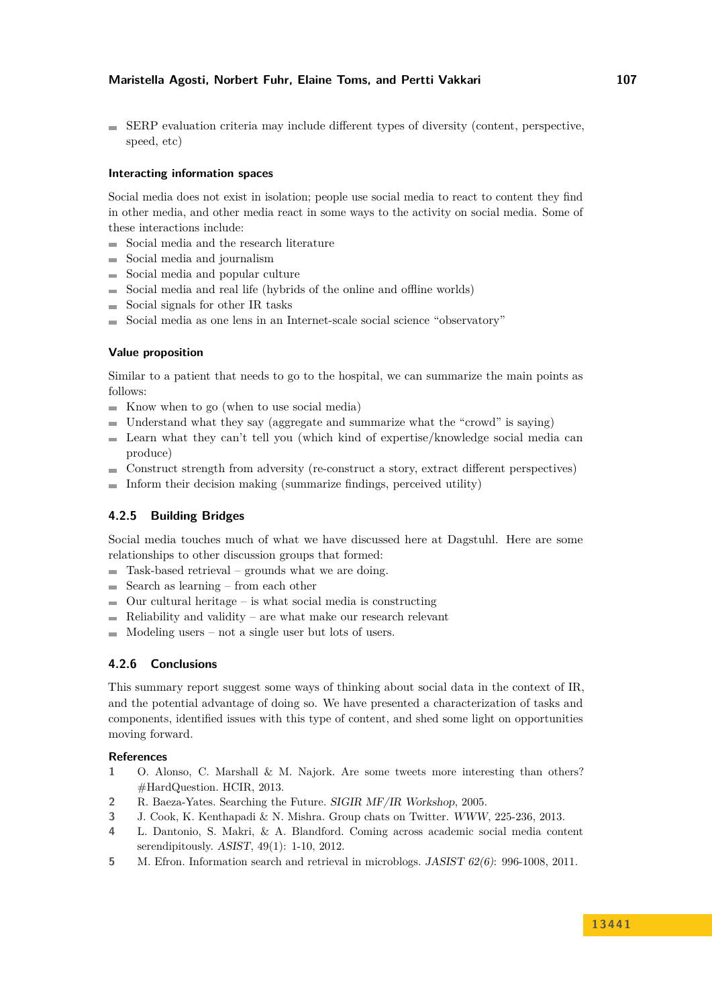# **Maristella Agosti, Norbert Fuhr, Elaine Toms, and Pertti Vakkari 107**

 $\blacksquare$  SERP evaluation criteria may include different types of diversity (content, perspective, speed, etc)

### **Interacting information spaces**

Social media does not exist in isolation; people use social media to react to content they find in other media, and other media react in some ways to the activity on social media. Some of these interactions include:

- Social media and the research literature
- m. Social media and journalism
- Social media and popular culture  $\sim$
- Social media and real life (hybrids of the online and offline worlds)
- $\blacksquare$  Social signals for other IR tasks
- Social media as one lens in an Internet-scale social science "observatory"

### **Value proposition**

Similar to a patient that needs to go to the hospital, we can summarize the main points as follows:

- Know when to go (when to use social media)
- Understand what they say (aggregate and summarize what the "crowd" is saying)
- Learn what they can't tell you (which kind of expertise/knowledge social media can  $\mathbf{r}$ produce)
- Construct strength from adversity (re-construct a story, extract different perspectives)  $\overline{\phantom{a}}$
- Inform their decision making (summarize findings, perceived utility)  $\blacksquare$

# **4.2.5 Building Bridges**

Social media touches much of what we have discussed here at Dagstuhl. Here are some relationships to other discussion groups that formed:

- $\blacksquare$  Task-based retrieval grounds what we are doing.
- $\blacksquare$  Search as learning from each other
- $\blacksquare$  Our cultural heritage is what social media is constructing
- Reliability and validity are what make our research relevant
- $\blacksquare$  Modeling users not a single user but lots of users.

# **4.2.6 Conclusions**

This summary report suggest some ways of thinking about social data in the context of IR, and the potential advantage of doing so. We have presented a characterization of tasks and components, identified issues with this type of content, and shed some light on opportunities moving forward.

### **References**

- **1** O. Alonso, C. Marshall & M. Najork. Are some tweets more interesting than others? #HardQuestion. HCIR, 2013.
- **2** R. Baeza-Yates. Searching the Future. SIGIR MF/IR Workshop, 2005.
- **3** J. Cook, K. Kenthapadi & N. Mishra. Group chats on Twitter. WWW, 225-236, 2013.
- **4** L. Dantonio, S. Makri, & A. Blandford. Coming across academic social media content serendipitously. ASIST, 49(1): 1-10, 2012.
- **5** M. Efron. Information search and retrieval in microblogs. JASIST 62(6): 996-1008, 2011.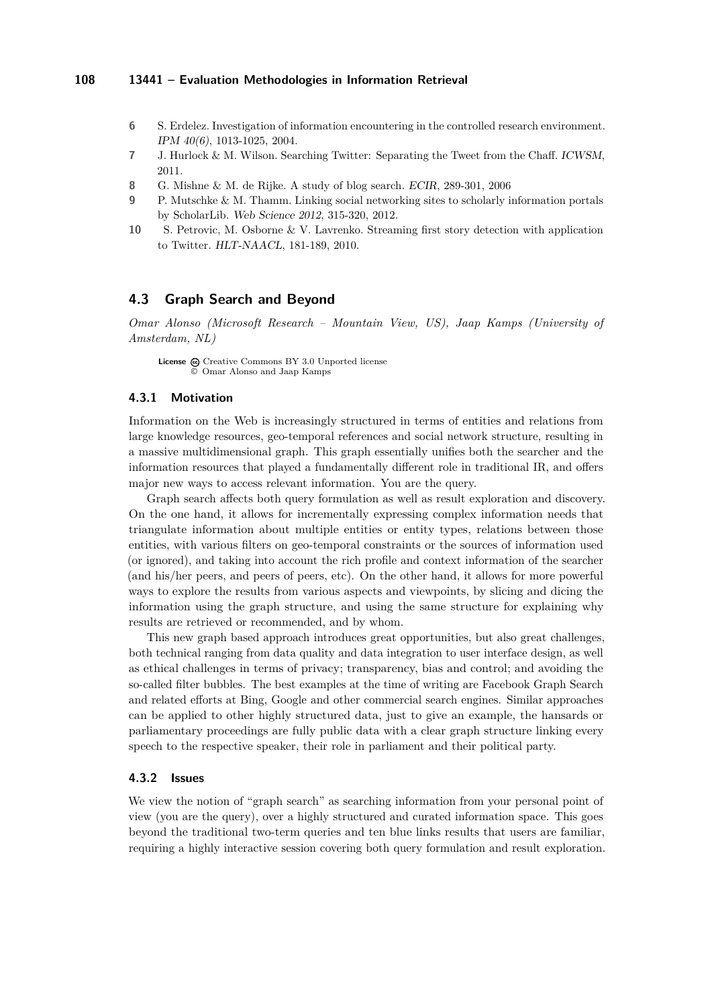- **6** S. Erdelez. Investigation of information encountering in the controlled research environment. IPM 40(6), 1013-1025, 2004.
- **7** J. Hurlock & M. Wilson. Searching Twitter: Separating the Tweet from the Chaff. ICWSM, 2011.
- **8** G. Mishne & M. de Rijke. A study of blog search. ECIR, 289-301, 2006
- **9** P. Mutschke & M. Thamm. Linking social networking sites to scholarly information portals by ScholarLib. Web Science 2012, 315-320, 2012.
- **10** S. Petrovic, M. Osborne & V. Lavrenko. Streaming first story detection with application to Twitter. HLT-NAACL, 181-189, 2010.

# <span id="page-16-0"></span>**4.3 Graph Search and Beyond**

*Omar Alonso (Microsoft Research – Mountain View, US), Jaap Kamps (University of Amsterdam, NL)*

License  $\textcircled{c}$  [Creative Commons BY 3.0 Unported](http://creativecommons.org/licenses/by/3.0/) license © [Omar Alonso and Jaap Kamps](#page-16-0)

### **4.3.1 Motivation**

Information on the Web is increasingly structured in terms of entities and relations from large knowledge resources, geo-temporal references and social network structure, resulting in a massive multidimensional graph. This graph essentially unifies both the searcher and the information resources that played a fundamentally different role in traditional IR, and offers major new ways to access relevant information. You are the query.

Graph search affects both query formulation as well as result exploration and discovery. On the one hand, it allows for incrementally expressing complex information needs that triangulate information about multiple entities or entity types, relations between those entities, with various filters on geo-temporal constraints or the sources of information used (or ignored), and taking into account the rich profile and context information of the searcher (and his/her peers, and peers of peers, etc). On the other hand, it allows for more powerful ways to explore the results from various aspects and viewpoints, by slicing and dicing the information using the graph structure, and using the same structure for explaining why results are retrieved or recommended, and by whom.

This new graph based approach introduces great opportunities, but also great challenges, both technical ranging from data quality and data integration to user interface design, as well as ethical challenges in terms of privacy; transparency, bias and control; and avoiding the so-called filter bubbles. The best examples at the time of writing are Facebook Graph Search and related efforts at Bing, Google and other commercial search engines. Similar approaches can be applied to other highly structured data, just to give an example, the hansards or parliamentary proceedings are fully public data with a clear graph structure linking every speech to the respective speaker, their role in parliament and their political party.

### **4.3.2 Issues**

We view the notion of "graph search" as searching information from your personal point of view (you are the query), over a highly structured and curated information space. This goes beyond the traditional two-term queries and ten blue links results that users are familiar, requiring a highly interactive session covering both query formulation and result exploration.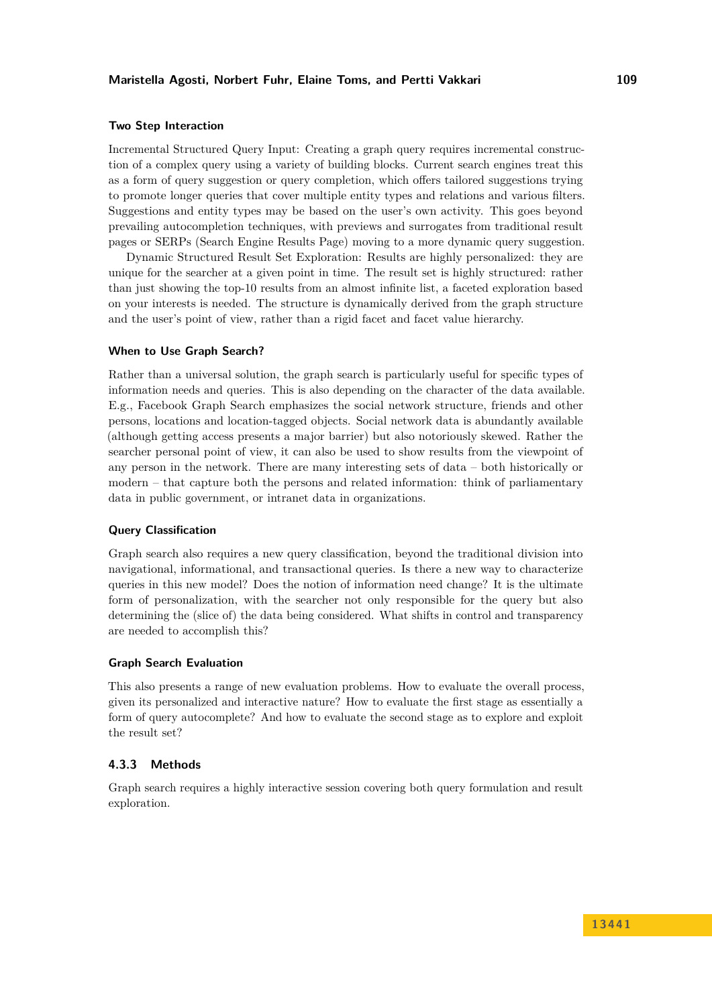#### **Two Step Interaction**

Incremental Structured Query Input: Creating a graph query requires incremental construction of a complex query using a variety of building blocks. Current search engines treat this as a form of query suggestion or query completion, which offers tailored suggestions trying to promote longer queries that cover multiple entity types and relations and various filters. Suggestions and entity types may be based on the user's own activity. This goes beyond prevailing autocompletion techniques, with previews and surrogates from traditional result pages or SERPs (Search Engine Results Page) moving to a more dynamic query suggestion.

Dynamic Structured Result Set Exploration: Results are highly personalized: they are unique for the searcher at a given point in time. The result set is highly structured: rather than just showing the top-10 results from an almost infinite list, a faceted exploration based on your interests is needed. The structure is dynamically derived from the graph structure and the user's point of view, rather than a rigid facet and facet value hierarchy.

#### **When to Use Graph Search?**

Rather than a universal solution, the graph search is particularly useful for specific types of information needs and queries. This is also depending on the character of the data available. E.g., Facebook Graph Search emphasizes the social network structure, friends and other persons, locations and location-tagged objects. Social network data is abundantly available (although getting access presents a major barrier) but also notoriously skewed. Rather the searcher personal point of view, it can also be used to show results from the viewpoint of any person in the network. There are many interesting sets of data – both historically or modern – that capture both the persons and related information: think of parliamentary data in public government, or intranet data in organizations.

# **Query Classification**

Graph search also requires a new query classification, beyond the traditional division into navigational, informational, and transactional queries. Is there a new way to characterize queries in this new model? Does the notion of information need change? It is the ultimate form of personalization, with the searcher not only responsible for the query but also determining the (slice of) the data being considered. What shifts in control and transparency are needed to accomplish this?

### **Graph Search Evaluation**

This also presents a range of new evaluation problems. How to evaluate the overall process, given its personalized and interactive nature? How to evaluate the first stage as essentially a form of query autocomplete? And how to evaluate the second stage as to explore and exploit the result set?

# **4.3.3 Methods**

Graph search requires a highly interactive session covering both query formulation and result exploration.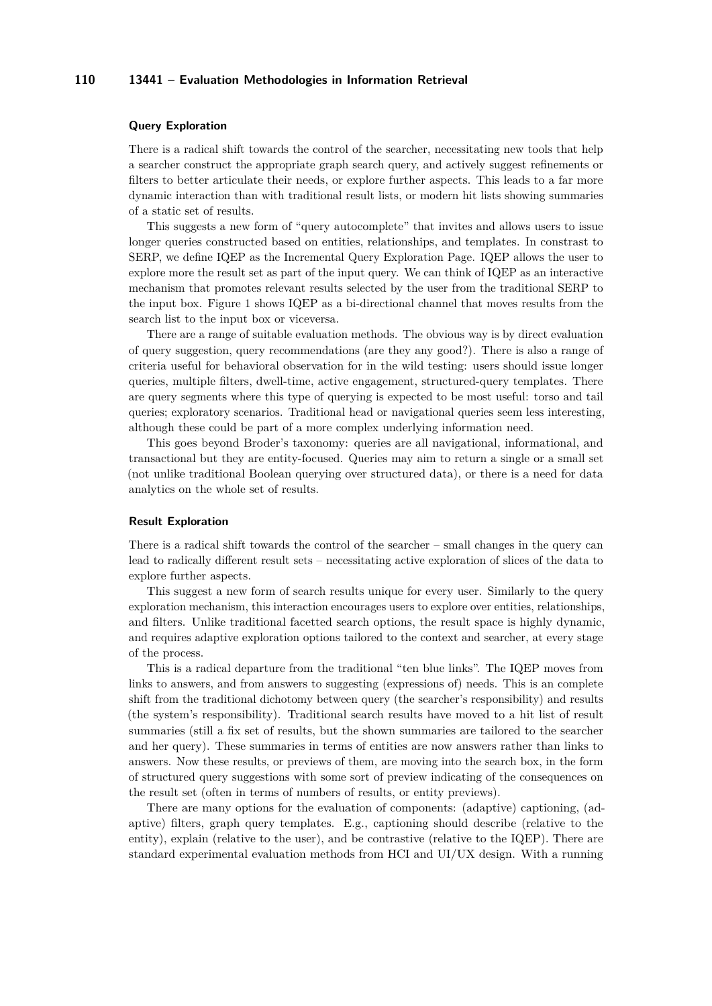#### **Query Exploration**

There is a radical shift towards the control of the searcher, necessitating new tools that help a searcher construct the appropriate graph search query, and actively suggest refinements or filters to better articulate their needs, or explore further aspects. This leads to a far more dynamic interaction than with traditional result lists, or modern hit lists showing summaries of a static set of results.

This suggests a new form of "query autocomplete" that invites and allows users to issue longer queries constructed based on entities, relationships, and templates. In constrast to SERP, we define IQEP as the Incremental Query Exploration Page. IQEP allows the user to explore more the result set as part of the input query. We can think of IQEP as an interactive mechanism that promotes relevant results selected by the user from the traditional SERP to the input box. Figure 1 shows IQEP as a bi-directional channel that moves results from the search list to the input box or viceversa.

There are a range of suitable evaluation methods. The obvious way is by direct evaluation of query suggestion, query recommendations (are they any good?). There is also a range of criteria useful for behavioral observation for in the wild testing: users should issue longer queries, multiple filters, dwell-time, active engagement, structured-query templates. There are query segments where this type of querying is expected to be most useful: torso and tail queries; exploratory scenarios. Traditional head or navigational queries seem less interesting, although these could be part of a more complex underlying information need.

This goes beyond Broder's taxonomy: queries are all navigational, informational, and transactional but they are entity-focused. Queries may aim to return a single or a small set (not unlike traditional Boolean querying over structured data), or there is a need for data analytics on the whole set of results.

#### **Result Exploration**

There is a radical shift towards the control of the searcher – small changes in the query can lead to radically different result sets – necessitating active exploration of slices of the data to explore further aspects.

This suggest a new form of search results unique for every user. Similarly to the query exploration mechanism, this interaction encourages users to explore over entities, relationships, and filters. Unlike traditional facetted search options, the result space is highly dynamic, and requires adaptive exploration options tailored to the context and searcher, at every stage of the process.

This is a radical departure from the traditional "ten blue links". The IQEP moves from links to answers, and from answers to suggesting (expressions of) needs. This is an complete shift from the traditional dichotomy between query (the searcher's responsibility) and results (the system's responsibility). Traditional search results have moved to a hit list of result summaries (still a fix set of results, but the shown summaries are tailored to the searcher and her query). These summaries in terms of entities are now answers rather than links to answers. Now these results, or previews of them, are moving into the search box, in the form of structured query suggestions with some sort of preview indicating of the consequences on the result set (often in terms of numbers of results, or entity previews).

There are many options for the evaluation of components: (adaptive) captioning, (adaptive) filters, graph query templates. E.g., captioning should describe (relative to the entity), explain (relative to the user), and be contrastive (relative to the IQEP). There are standard experimental evaluation methods from HCI and UI/UX design. With a running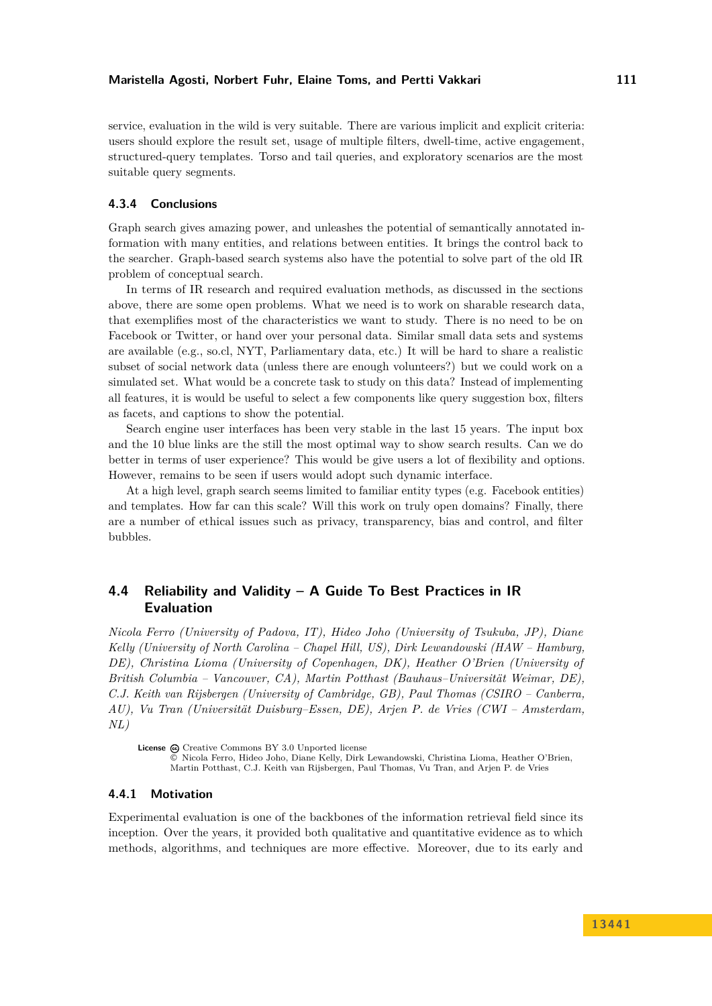service, evaluation in the wild is very suitable. There are various implicit and explicit criteria: users should explore the result set, usage of multiple filters, dwell-time, active engagement, structured-query templates. Torso and tail queries, and exploratory scenarios are the most suitable query segments.

# **4.3.4 Conclusions**

Graph search gives amazing power, and unleashes the potential of semantically annotated information with many entities, and relations between entities. It brings the control back to the searcher. Graph-based search systems also have the potential to solve part of the old IR problem of conceptual search.

In terms of IR research and required evaluation methods, as discussed in the sections above, there are some open problems. What we need is to work on sharable research data, that exemplifies most of the characteristics we want to study. There is no need to be on Facebook or Twitter, or hand over your personal data. Similar small data sets and systems are available (e.g., so.cl, NYT, Parliamentary data, etc.) It will be hard to share a realistic subset of social network data (unless there are enough volunteers?) but we could work on a simulated set. What would be a concrete task to study on this data? Instead of implementing all features, it is would be useful to select a few components like query suggestion box, filters as facets, and captions to show the potential.

Search engine user interfaces has been very stable in the last 15 years. The input box and the 10 blue links are the still the most optimal way to show search results. Can we do better in terms of user experience? This would be give users a lot of flexibility and options. However, remains to be seen if users would adopt such dynamic interface.

At a high level, graph search seems limited to familiar entity types (e.g. Facebook entities) and templates. How far can this scale? Will this work on truly open domains? Finally, there are a number of ethical issues such as privacy, transparency, bias and control, and filter bubbles.

# <span id="page-19-0"></span>**4.4 Reliability and Validity – A Guide To Best Practices in IR Evaluation**

*Nicola Ferro (University of Padova, IT), Hideo Joho (University of Tsukuba, JP), Diane Kelly (University of North Carolina – Chapel Hill, US), Dirk Lewandowski (HAW – Hamburg, DE), Christina Lioma (University of Copenhagen, DK), Heather O'Brien (University of British Columbia – Vancouver, CA), Martin Potthast (Bauhaus–Universität Weimar, DE), C.J. Keith van Rijsbergen (University of Cambridge, GB), Paul Thomas (CSIRO – Canberra, AU), Vu Tran (Universität Duisburg–Essen, DE), Arjen P. de Vries (CWI – Amsterdam, NL)*

License  $\textcircled{c}$  [Creative Commons BY 3.0 Unported](http://creativecommons.org/licenses/by/3.0/) license © [Nicola Ferro, Hideo Joho, Diane Kelly, Dirk Lewandowski, Christina Lioma, Heather O'Brien,](#page-19-0) [Martin Potthast, C.J. Keith van Rijsbergen, Paul Thomas, Vu Tran, and Arjen P. de Vries](#page-19-0)

#### **4.4.1 Motivation**

Experimental evaluation is one of the backbones of the information retrieval field since its inception. Over the years, it provided both qualitative and quantitative evidence as to which methods, algorithms, and techniques are more effective. Moreover, due to its early and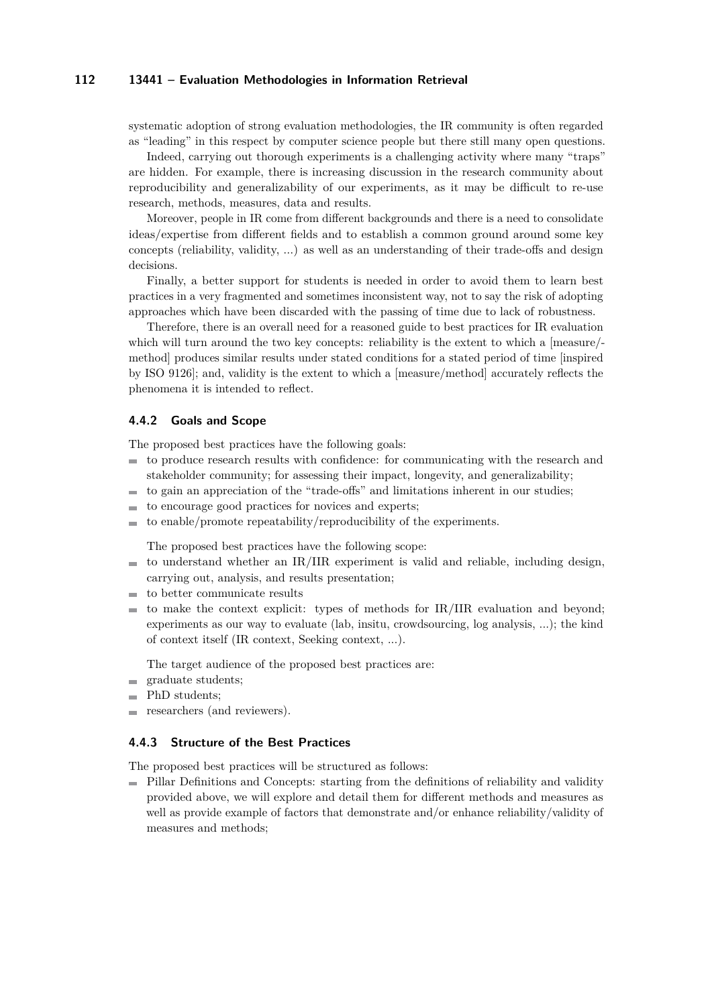systematic adoption of strong evaluation methodologies, the IR community is often regarded as "leading" in this respect by computer science people but there still many open questions.

Indeed, carrying out thorough experiments is a challenging activity where many "traps" are hidden. For example, there is increasing discussion in the research community about reproducibility and generalizability of our experiments, as it may be difficult to re-use research, methods, measures, data and results.

Moreover, people in IR come from different backgrounds and there is a need to consolidate ideas/expertise from different fields and to establish a common ground around some key concepts (reliability, validity, ...) as well as an understanding of their trade-offs and design decisions.

Finally, a better support for students is needed in order to avoid them to learn best practices in a very fragmented and sometimes inconsistent way, not to say the risk of adopting approaches which have been discarded with the passing of time due to lack of robustness.

Therefore, there is an overall need for a reasoned guide to best practices for IR evaluation which will turn around the two key concepts: reliability is the extent to which a [measure/method] produces similar results under stated conditions for a stated period of time [inspired by ISO 9126]; and, validity is the extent to which a [measure/method] accurately reflects the phenomena it is intended to reflect.

## **4.4.2 Goals and Scope**

The proposed best practices have the following goals:

- to produce research results with confidence: for communicating with the research and stakeholder community; for assessing their impact, longevity, and generalizability;
- to gain an appreciation of the "trade-offs" and limitations inherent in our studies; m.
- to encourage good practices for novices and experts;  $\overline{a}$
- to enable/promote repeatability/reproducibility of the experiments.

The proposed best practices have the following scope:

- to understand whether an IR/IIR experiment is valid and reliable, including design,  $\blacksquare$ carrying out, analysis, and results presentation;
- to better communicate results m.
- to make the context explicit: types of methods for IR/IIR evaluation and beyond; experiments as our way to evaluate (lab, insitu, crowdsourcing, log analysis, ...); the kind of context itself (IR context, Seeking context, ...).

The target audience of the proposed best practices are:

- graduate students; m.
- PhD students;
- researchers (and reviewers).

#### **4.4.3 Structure of the Best Practices**

The proposed best practices will be structured as follows:

Pillar Definitions and Concepts: starting from the definitions of reliability and validity provided above, we will explore and detail them for different methods and measures as well as provide example of factors that demonstrate and/or enhance reliability/validity of measures and methods;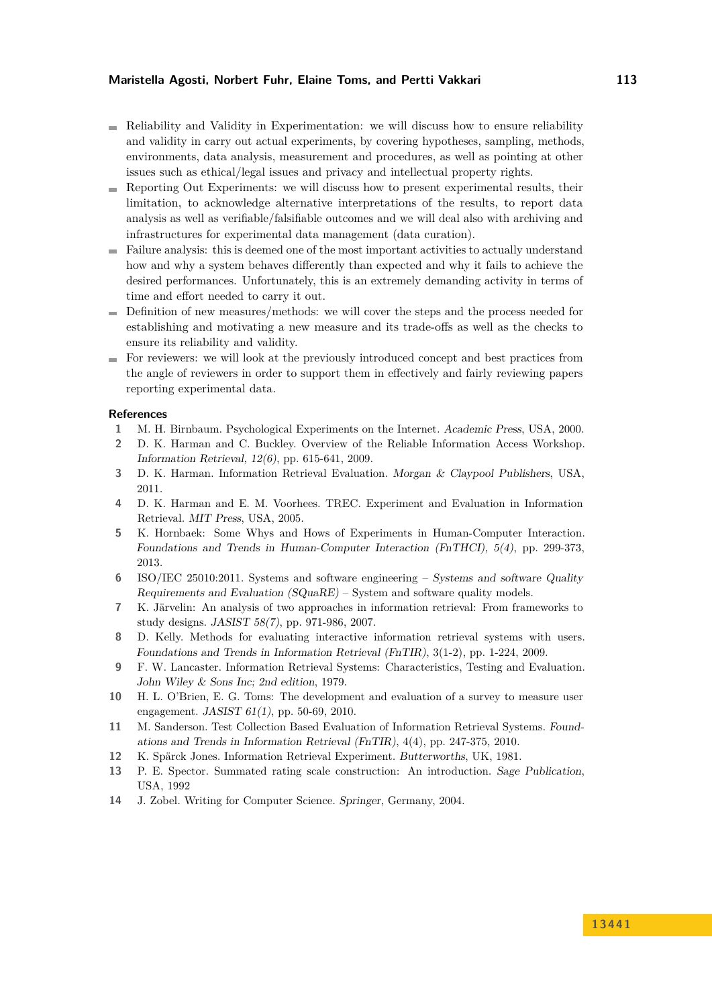### **Maristella Agosti, Norbert Fuhr, Elaine Toms, and Pertti Vakkari 113**

- Reliability and Validity in Experimentation: we will discuss how to ensure reliability and validity in carry out actual experiments, by covering hypotheses, sampling, methods, environments, data analysis, measurement and procedures, as well as pointing at other issues such as ethical/legal issues and privacy and intellectual property rights.
- Reporting Out Experiments: we will discuss how to present experimental results, their  $\mathcal{L}$ limitation, to acknowledge alternative interpretations of the results, to report data analysis as well as verifiable/falsifiable outcomes and we will deal also with archiving and infrastructures for experimental data management (data curation).
- Failure analysis: this is deemed one of the most important activities to actually understand how and why a system behaves differently than expected and why it fails to achieve the desired performances. Unfortunately, this is an extremely demanding activity in terms of time and effort needed to carry it out.
- Definition of new measures/methods: we will cover the steps and the process needed for establishing and motivating a new measure and its trade-offs as well as the checks to ensure its reliability and validity.
- $\blacksquare$  For reviewers: we will look at the previously introduced concept and best practices from the angle of reviewers in order to support them in effectively and fairly reviewing papers reporting experimental data.

# **References**

- **1** M. H. Birnbaum. Psychological Experiments on the Internet. Academic Press, USA, 2000.
- **2** D. K. Harman and C. Buckley. Overview of the Reliable Information Access Workshop. Information Retrieval, 12(6), pp. 615-641, 2009.
- **3** D. K. Harman. Information Retrieval Evaluation. Morgan & Claypool Publishers, USA, 2011.
- **4** D. K. Harman and E. M. Voorhees. TREC. Experiment and Evaluation in Information Retrieval. MIT Press, USA, 2005.
- **5** K. Hornbaek: Some Whys and Hows of Experiments in Human-Computer Interaction. Foundations and Trends in Human-Computer Interaction (FnTHCI), 5(4), pp. 299-373, 2013.
- **6** ISO/IEC 25010:2011. Systems and software engineering Systems and software Quality Requirements and Evaluation  $(SQuaRE)$  – System and software quality models.
- **7** K. Järvelin: An analysis of two approaches in information retrieval: From frameworks to study designs. JASIST 58(7), pp. 971-986, 2007.
- **8** D. Kelly. Methods for evaluating interactive information retrieval systems with users. Foundations and Trends in Information Retrieval (FnTIR), 3(1-2), pp. 1-224, 2009.
- **9** F. W. Lancaster. Information Retrieval Systems: Characteristics, Testing and Evaluation. John Wiley & Sons Inc; 2nd edition, 1979.
- **10** H. L. O'Brien, E. G. Toms: The development and evaluation of a survey to measure user engagement. JASIST 61(1), pp. 50-69, 2010.
- **11** M. Sanderson. Test Collection Based Evaluation of Information Retrieval Systems. Foundations and Trends in Information Retrieval (FnTIR), 4(4), pp. 247-375, 2010.
- **12** K. Spärck Jones. Information Retrieval Experiment. Butterworths, UK, 1981.
- **13** P. E. Spector. Summated rating scale construction: An introduction. Sage Publication, USA, 1992
- **14** J. Zobel. Writing for Computer Science. Springer, Germany, 2004.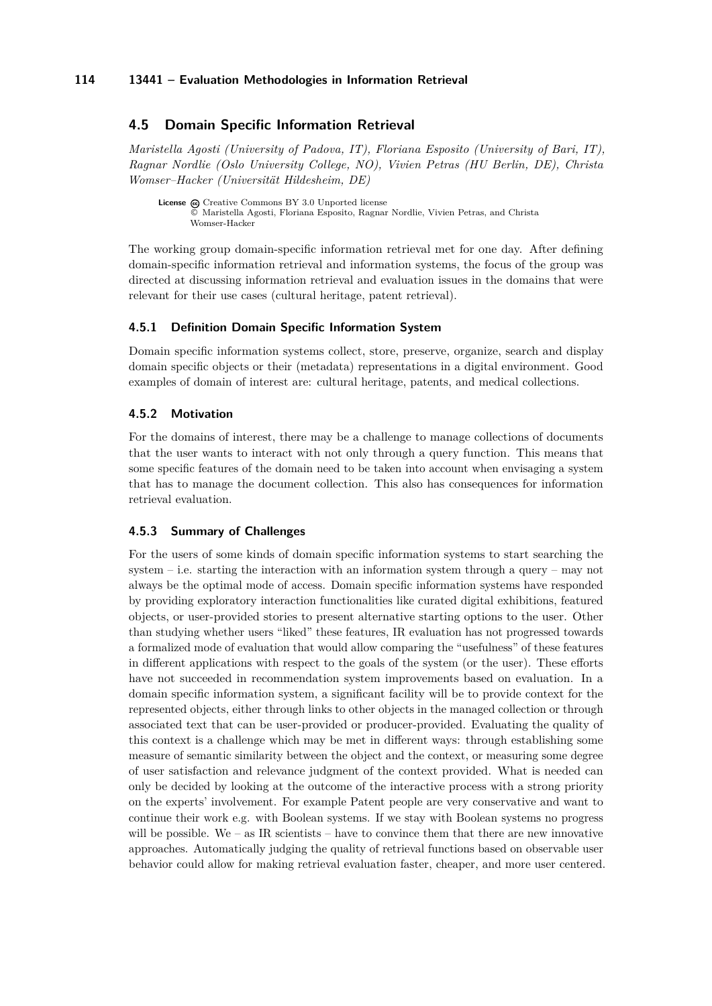# <span id="page-22-0"></span>**4.5 Domain Specific Information Retrieval**

*Maristella Agosti (University of Padova, IT), Floriana Esposito (University of Bari, IT), Ragnar Nordlie (Oslo University College, NO), Vivien Petras (HU Berlin, DE), Christa Womser–Hacker (Universität Hildesheim, DE)*

License @ [Creative Commons BY 3.0 Unported](http://creativecommons.org/licenses/by/3.0/) license © [Maristella Agosti, Floriana Esposito, Ragnar Nordlie, Vivien Petras, and Christa](#page-22-0) [Womser-Hacker](#page-22-0)

The working group domain-specific information retrieval met for one day. After defining domain-specific information retrieval and information systems, the focus of the group was directed at discussing information retrieval and evaluation issues in the domains that were relevant for their use cases (cultural heritage, patent retrieval).

#### **4.5.1 Definition Domain Specific Information System**

Domain specific information systems collect, store, preserve, organize, search and display domain specific objects or their (metadata) representations in a digital environment. Good examples of domain of interest are: cultural heritage, patents, and medical collections.

### **4.5.2 Motivation**

For the domains of interest, there may be a challenge to manage collections of documents that the user wants to interact with not only through a query function. This means that some specific features of the domain need to be taken into account when envisaging a system that has to manage the document collection. This also has consequences for information retrieval evaluation.

# **4.5.3 Summary of Challenges**

For the users of some kinds of domain specific information systems to start searching the system – i.e. starting the interaction with an information system through a query – may not always be the optimal mode of access. Domain specific information systems have responded by providing exploratory interaction functionalities like curated digital exhibitions, featured objects, or user-provided stories to present alternative starting options to the user. Other than studying whether users "liked" these features, IR evaluation has not progressed towards a formalized mode of evaluation that would allow comparing the "usefulness" of these features in different applications with respect to the goals of the system (or the user). These efforts have not succeeded in recommendation system improvements based on evaluation. In a domain specific information system, a significant facility will be to provide context for the represented objects, either through links to other objects in the managed collection or through associated text that can be user-provided or producer-provided. Evaluating the quality of this context is a challenge which may be met in different ways: through establishing some measure of semantic similarity between the object and the context, or measuring some degree of user satisfaction and relevance judgment of the context provided. What is needed can only be decided by looking at the outcome of the interactive process with a strong priority on the experts' involvement. For example Patent people are very conservative and want to continue their work e.g. with Boolean systems. If we stay with Boolean systems no progress will be possible. We – as IR scientists – have to convince them that there are new innovative approaches. Automatically judging the quality of retrieval functions based on observable user behavior could allow for making retrieval evaluation faster, cheaper, and more user centered.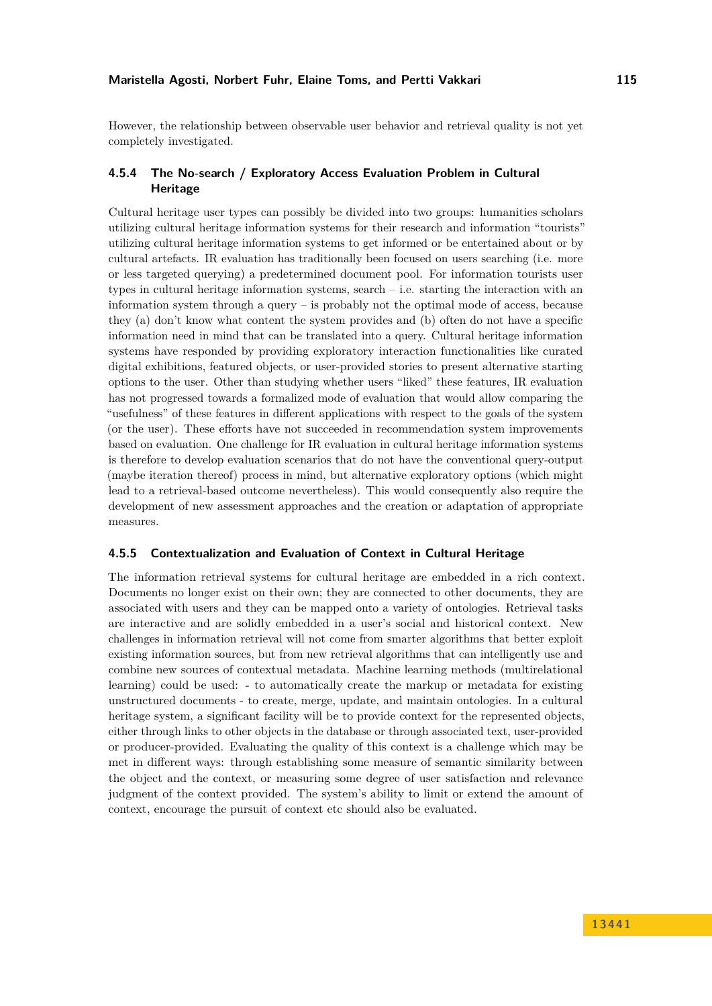However, the relationship between observable user behavior and retrieval quality is not yet completely investigated.

# **4.5.4 The No-search / Exploratory Access Evaluation Problem in Cultural Heritage**

Cultural heritage user types can possibly be divided into two groups: humanities scholars utilizing cultural heritage information systems for their research and information "tourists" utilizing cultural heritage information systems to get informed or be entertained about or by cultural artefacts. IR evaluation has traditionally been focused on users searching (i.e. more or less targeted querying) a predetermined document pool. For information tourists user types in cultural heritage information systems, search  $-$  i.e. starting the interaction with an information system through a query  $-$  is probably not the optimal mode of access, because they (a) don't know what content the system provides and (b) often do not have a specific information need in mind that can be translated into a query. Cultural heritage information systems have responded by providing exploratory interaction functionalities like curated digital exhibitions, featured objects, or user-provided stories to present alternative starting options to the user. Other than studying whether users "liked" these features, IR evaluation has not progressed towards a formalized mode of evaluation that would allow comparing the "usefulness" of these features in different applications with respect to the goals of the system (or the user). These efforts have not succeeded in recommendation system improvements based on evaluation. One challenge for IR evaluation in cultural heritage information systems is therefore to develop evaluation scenarios that do not have the conventional query-output (maybe iteration thereof) process in mind, but alternative exploratory options (which might lead to a retrieval-based outcome nevertheless). This would consequently also require the development of new assessment approaches and the creation or adaptation of appropriate measures.

# **4.5.5 Contextualization and Evaluation of Context in Cultural Heritage**

The information retrieval systems for cultural heritage are embedded in a rich context. Documents no longer exist on their own; they are connected to other documents, they are associated with users and they can be mapped onto a variety of ontologies. Retrieval tasks are interactive and are solidly embedded in a user's social and historical context. New challenges in information retrieval will not come from smarter algorithms that better exploit existing information sources, but from new retrieval algorithms that can intelligently use and combine new sources of contextual metadata. Machine learning methods (multirelational learning) could be used: - to automatically create the markup or metadata for existing unstructured documents - to create, merge, update, and maintain ontologies. In a cultural heritage system, a significant facility will be to provide context for the represented objects, either through links to other objects in the database or through associated text, user-provided or producer-provided. Evaluating the quality of this context is a challenge which may be met in different ways: through establishing some measure of semantic similarity between the object and the context, or measuring some degree of user satisfaction and relevance judgment of the context provided. The system's ability to limit or extend the amount of context, encourage the pursuit of context etc should also be evaluated.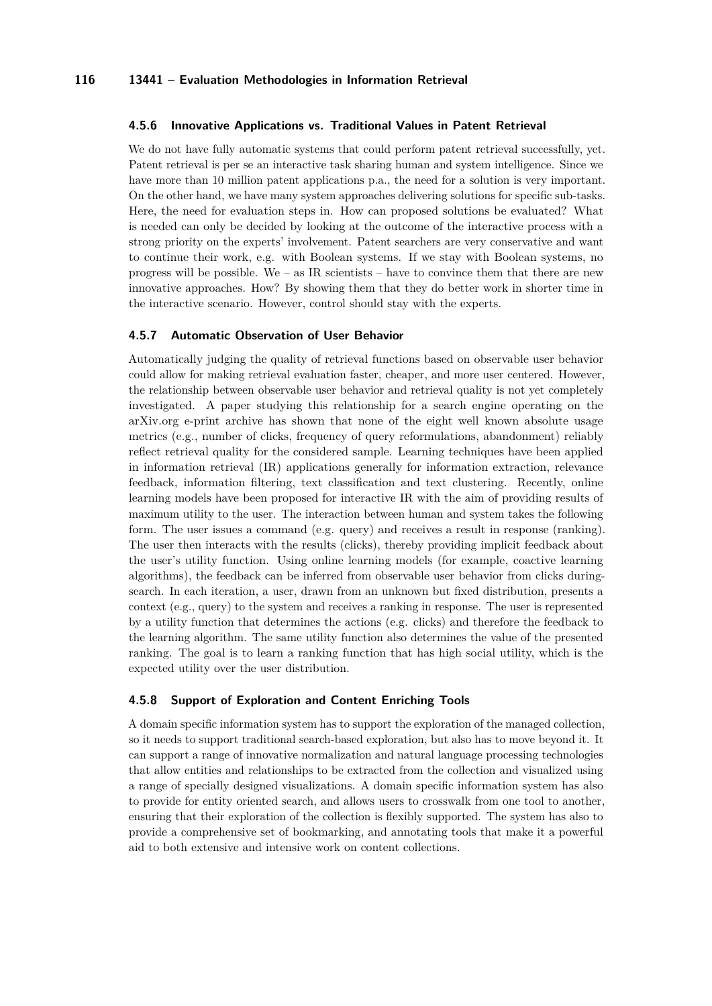### **4.5.6 Innovative Applications vs. Traditional Values in Patent Retrieval**

We do not have fully automatic systems that could perform patent retrieval successfully, yet. Patent retrieval is per se an interactive task sharing human and system intelligence. Since we have more than 10 million patent applications p.a., the need for a solution is very important. On the other hand, we have many system approaches delivering solutions for specific sub-tasks. Here, the need for evaluation steps in. How can proposed solutions be evaluated? What is needed can only be decided by looking at the outcome of the interactive process with a strong priority on the experts' involvement. Patent searchers are very conservative and want to continue their work, e.g. with Boolean systems. If we stay with Boolean systems, no progress will be possible. We – as IR scientists – have to convince them that there are new innovative approaches. How? By showing them that they do better work in shorter time in the interactive scenario. However, control should stay with the experts.

### **4.5.7 Automatic Observation of User Behavior**

Automatically judging the quality of retrieval functions based on observable user behavior could allow for making retrieval evaluation faster, cheaper, and more user centered. However, the relationship between observable user behavior and retrieval quality is not yet completely investigated. A paper studying this relationship for a search engine operating on the arXiv.org e-print archive has shown that none of the eight well known absolute usage metrics (e.g., number of clicks, frequency of query reformulations, abandonment) reliably reflect retrieval quality for the considered sample. Learning techniques have been applied in information retrieval (IR) applications generally for information extraction, relevance feedback, information filtering, text classification and text clustering. Recently, online learning models have been proposed for interactive IR with the aim of providing results of maximum utility to the user. The interaction between human and system takes the following form. The user issues a command (e.g. query) and receives a result in response (ranking). The user then interacts with the results (clicks), thereby providing implicit feedback about the user's utility function. Using online learning models (for example, coactive learning algorithms), the feedback can be inferred from observable user behavior from clicks duringsearch. In each iteration, a user, drawn from an unknown but fixed distribution, presents a context (e.g., query) to the system and receives a ranking in response. The user is represented by a utility function that determines the actions (e.g. clicks) and therefore the feedback to the learning algorithm. The same utility function also determines the value of the presented ranking. The goal is to learn a ranking function that has high social utility, which is the expected utility over the user distribution.

### **4.5.8 Support of Exploration and Content Enriching Tools**

A domain specific information system has to support the exploration of the managed collection, so it needs to support traditional search-based exploration, but also has to move beyond it. It can support a range of innovative normalization and natural language processing technologies that allow entities and relationships to be extracted from the collection and visualized using a range of specially designed visualizations. A domain specific information system has also to provide for entity oriented search, and allows users to crosswalk from one tool to another, ensuring that their exploration of the collection is flexibly supported. The system has also to provide a comprehensive set of bookmarking, and annotating tools that make it a powerful aid to both extensive and intensive work on content collections.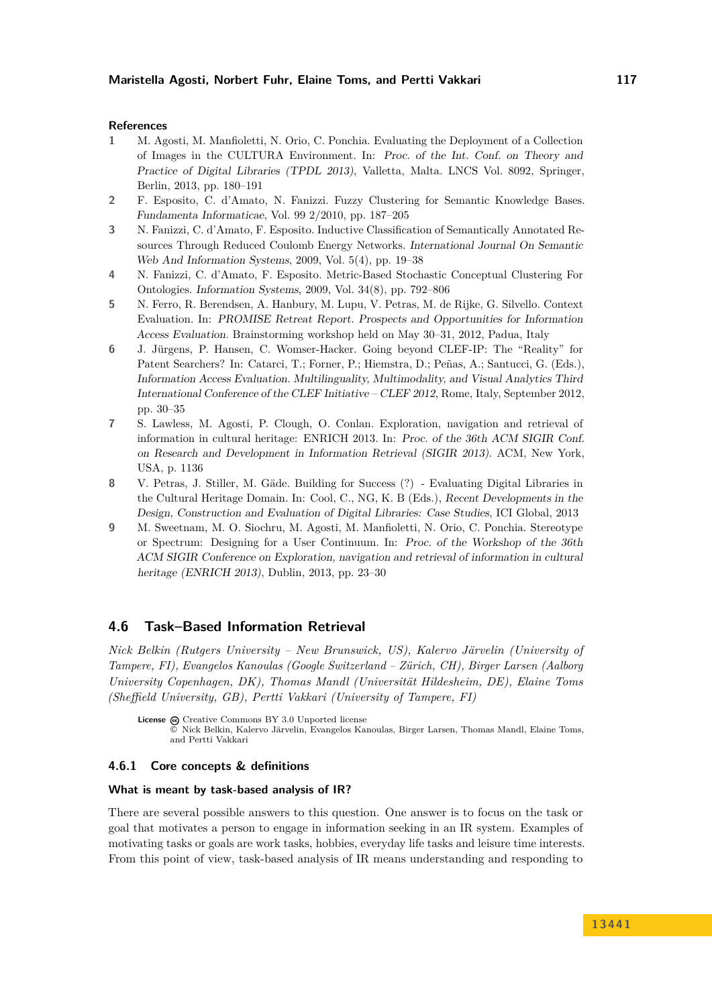#### **References**

- **1** M. Agosti, M. Manfioletti, N. Orio, C. Ponchia. Evaluating the Deployment of a Collection of Images in the CULTURA Environment. In: Proc. of the Int. Conf. on Theory and Practice of Digital Libraries (TPDL 2013), Valletta, Malta. LNCS Vol. 8092, Springer, Berlin, 2013, pp. 180–191
- **2** F. Esposito, C. d'Amato, N. Fanizzi. Fuzzy Clustering for Semantic Knowledge Bases. Fundamenta Informaticae, Vol. 99 2/2010, pp. 187–205
- **3** N. Fanizzi, C. d'Amato, F. Esposito. Inductive Classification of Semantically Annotated Resources Through Reduced Coulomb Energy Networks. International Journal On Semantic Web And Information Systems, 2009, Vol. 5(4), pp. 19–38
- **4** N. Fanizzi, C. d'Amato, F. Esposito. Metric-Based Stochastic Conceptual Clustering For Ontologies. Information Systems, 2009, Vol. 34(8), pp. 792–806
- **5** N. Ferro, R. Berendsen, A. Hanbury, M. Lupu, V. Petras, M. de Rijke, G. Silvello. Context Evaluation. In: PROMISE Retreat Report. Prospects and Opportunities for Information Access Evaluation. Brainstorming workshop held on May 30–31, 2012, Padua, Italy
- **6** J. Jürgens, P. Hansen, C. Womser-Hacker. Going beyond CLEF-IP: The "Reality" for Patent Searchers? In: Catarci, T.; Forner, P.; Hiemstra, D.; Peñas, A.; Santucci, G. (Eds.), Information Access Evaluation. Multilinguality, Multimodality, and Visual Analytics Third International Conference of the CLEF Initiative – CLEF 2012, Rome, Italy, September 2012, pp. 30–35
- **7** S. Lawless, M. Agosti, P. Clough, O. Conlan. Exploration, navigation and retrieval of information in cultural heritage: ENRICH 2013. In: Proc. of the 36th ACM SIGIR Conf. on Research and Development in Information Retrieval (SIGIR 2013). ACM, New York, USA, p. 1136
- **8** V. Petras, J. Stiller, M. Gäde. Building for Success (?) Evaluating Digital Libraries in the Cultural Heritage Domain. In: Cool, C., NG, K. B (Eds.), Recent Developments in the Design, Construction and Evaluation of Digital Libraries: Case Studies, ICI Global, 2013
- **9** M. Sweetnam, M. O. Siochru, M. Agosti, M. Manfioletti, N. Orio, C. Ponchia. Stereotype or Spectrum: Designing for a User Continuum. In: Proc. of the Workshop of the 36th ACM SIGIR Conference on Exploration, navigation and retrieval of information in cultural heritage (ENRICH 2013), Dublin, 2013, pp. 23–30

# <span id="page-25-0"></span>**4.6 Task–Based Information Retrieval**

*Nick Belkin (Rutgers University – New Brunswick, US), Kalervo Järvelin (University of Tampere, FI), Evangelos Kanoulas (Google Switzerland – Zürich, CH), Birger Larsen (Aalborg University Copenhagen, DK), Thomas Mandl (Universität Hildesheim, DE), Elaine Toms (Sheffield University, GB), Pertti Vakkari (University of Tampere, FI)*

License  $\bigcirc$  [Creative Commons BY 3.0 Unported](http://creativecommons.org/licenses/by/3.0/) license © [Nick Belkin, Kalervo Järvelin, Evangelos Kanoulas, Birger Larsen, Thomas Mandl, Elaine Toms,](#page-25-0) [and Pertti Vakkari](#page-25-0)

#### **4.6.1 Core concepts & definitions**

#### **What is meant by task-based analysis of IR?**

There are several possible answers to this question. One answer is to focus on the task or goal that motivates a person to engage in information seeking in an IR system. Examples of motivating tasks or goals are work tasks, hobbies, everyday life tasks and leisure time interests. From this point of view, task-based analysis of IR means understanding and responding to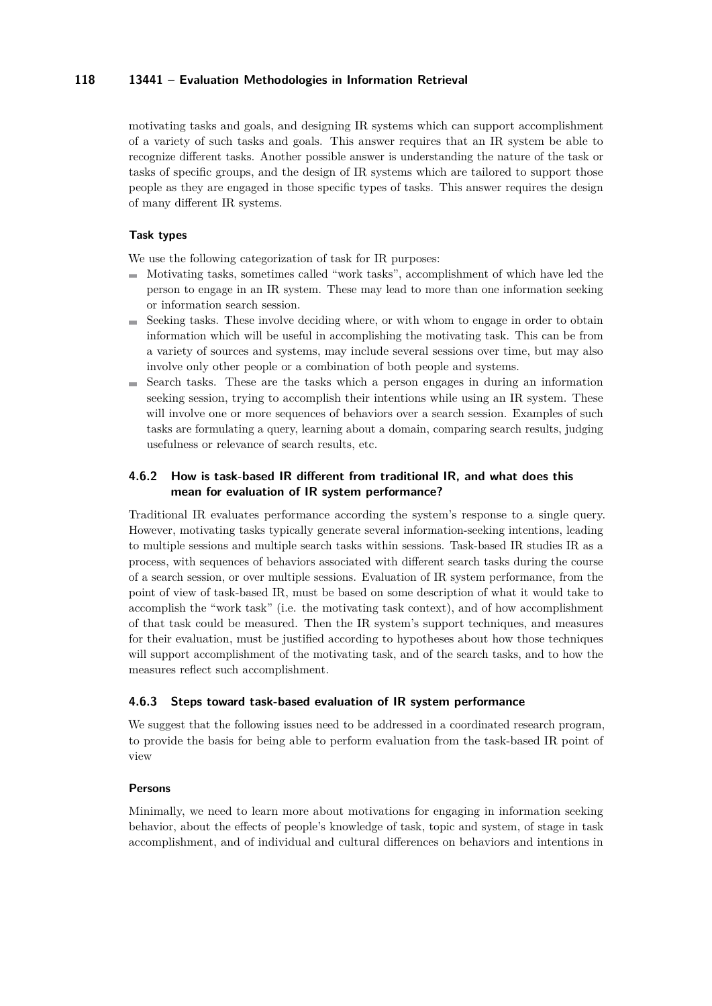motivating tasks and goals, and designing IR systems which can support accomplishment of a variety of such tasks and goals. This answer requires that an IR system be able to recognize different tasks. Another possible answer is understanding the nature of the task or tasks of specific groups, and the design of IR systems which are tailored to support those people as they are engaged in those specific types of tasks. This answer requires the design of many different IR systems.

# **Task types**

We use the following categorization of task for IR purposes:

- $\blacksquare$  Motivating tasks, sometimes called "work tasks", accomplishment of which have led the person to engage in an IR system. These may lead to more than one information seeking or information search session.
- Seeking tasks. These involve deciding where, or with whom to engage in order to obtain information which will be useful in accomplishing the motivating task. This can be from a variety of sources and systems, may include several sessions over time, but may also involve only other people or a combination of both people and systems.
- $\blacksquare$  Search tasks. These are the tasks which a person engages in during an information seeking session, trying to accomplish their intentions while using an IR system. These will involve one or more sequences of behaviors over a search session. Examples of such tasks are formulating a query, learning about a domain, comparing search results, judging usefulness or relevance of search results, etc.

# **4.6.2 How is task-based IR different from traditional IR, and what does this mean for evaluation of IR system performance?**

Traditional IR evaluates performance according the system's response to a single query. However, motivating tasks typically generate several information-seeking intentions, leading to multiple sessions and multiple search tasks within sessions. Task-based IR studies IR as a process, with sequences of behaviors associated with different search tasks during the course of a search session, or over multiple sessions. Evaluation of IR system performance, from the point of view of task-based IR, must be based on some description of what it would take to accomplish the "work task" (i.e. the motivating task context), and of how accomplishment of that task could be measured. Then the IR system's support techniques, and measures for their evaluation, must be justified according to hypotheses about how those techniques will support accomplishment of the motivating task, and of the search tasks, and to how the measures reflect such accomplishment.

### **4.6.3 Steps toward task-based evaluation of IR system performance**

We suggest that the following issues need to be addressed in a coordinated research program, to provide the basis for being able to perform evaluation from the task-based IR point of view

### **Persons**

Minimally, we need to learn more about motivations for engaging in information seeking behavior, about the effects of people's knowledge of task, topic and system, of stage in task accomplishment, and of individual and cultural differences on behaviors and intentions in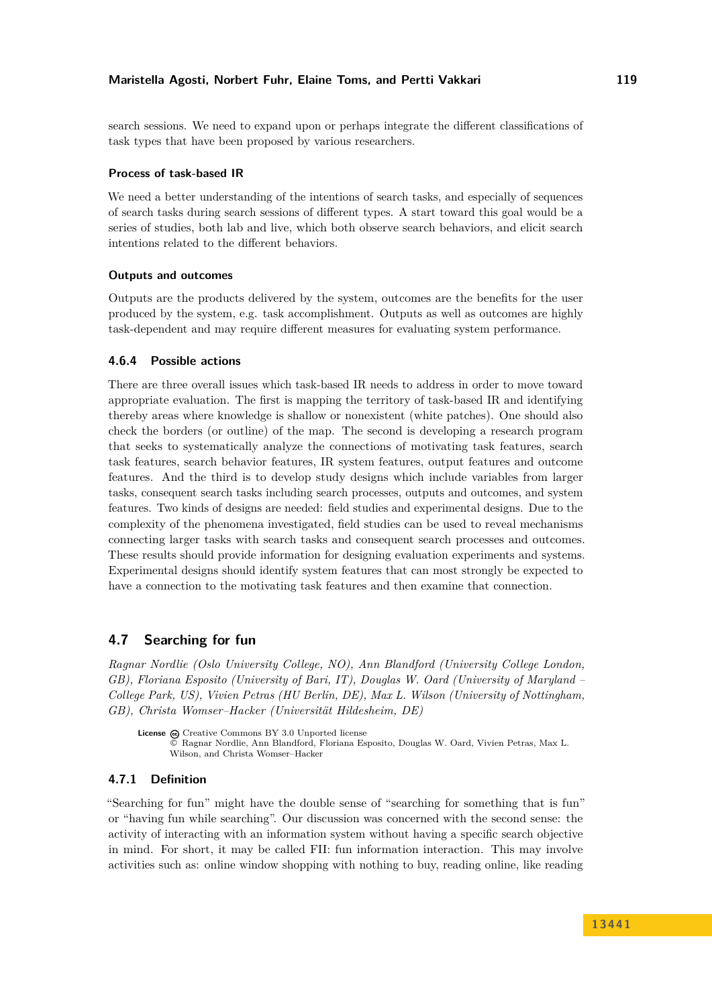search sessions. We need to expand upon or perhaps integrate the different classifications of task types that have been proposed by various researchers.

#### **Process of task-based IR**

We need a better understanding of the intentions of search tasks, and especially of sequences of search tasks during search sessions of different types. A start toward this goal would be a series of studies, both lab and live, which both observe search behaviors, and elicit search intentions related to the different behaviors.

### **Outputs and outcomes**

Outputs are the products delivered by the system, outcomes are the benefits for the user produced by the system, e.g. task accomplishment. Outputs as well as outcomes are highly task-dependent and may require different measures for evaluating system performance.

### **4.6.4 Possible actions**

There are three overall issues which task-based IR needs to address in order to move toward appropriate evaluation. The first is mapping the territory of task-based IR and identifying thereby areas where knowledge is shallow or nonexistent (white patches). One should also check the borders (or outline) of the map. The second is developing a research program that seeks to systematically analyze the connections of motivating task features, search task features, search behavior features, IR system features, output features and outcome features. And the third is to develop study designs which include variables from larger tasks, consequent search tasks including search processes, outputs and outcomes, and system features. Two kinds of designs are needed: field studies and experimental designs. Due to the complexity of the phenomena investigated, field studies can be used to reveal mechanisms connecting larger tasks with search tasks and consequent search processes and outcomes. These results should provide information for designing evaluation experiments and systems. Experimental designs should identify system features that can most strongly be expected to have a connection to the motivating task features and then examine that connection.

# <span id="page-27-0"></span>**4.7 Searching for fun**

*Ragnar Nordlie (Oslo University College, NO), Ann Blandford (University College London, GB), Floriana Esposito (University of Bari, IT), Douglas W. Oard (University of Maryland – College Park, US), Vivien Petras (HU Berlin, DE), Max L. Wilson (University of Nottingham, GB), Christa Womser–Hacker (Universität Hildesheim, DE)*

License  $\textcircled{c}$  [Creative Commons BY 3.0 Unported](http://creativecommons.org/licenses/by/3.0/) license © [Ragnar Nordlie, Ann Blandford, Floriana Esposito, Douglas W. Oard, Vivien Petras, Max L.](#page-27-0) [Wilson, and Christa Womser–Hacker](#page-27-0)

# **4.7.1 Definition**

"Searching for fun" might have the double sense of "searching for something that is fun" or "having fun while searching". Our discussion was concerned with the second sense: the activity of interacting with an information system without having a specific search objective in mind. For short, it may be called FII: fun information interaction. This may involve activities such as: online window shopping with nothing to buy, reading online, like reading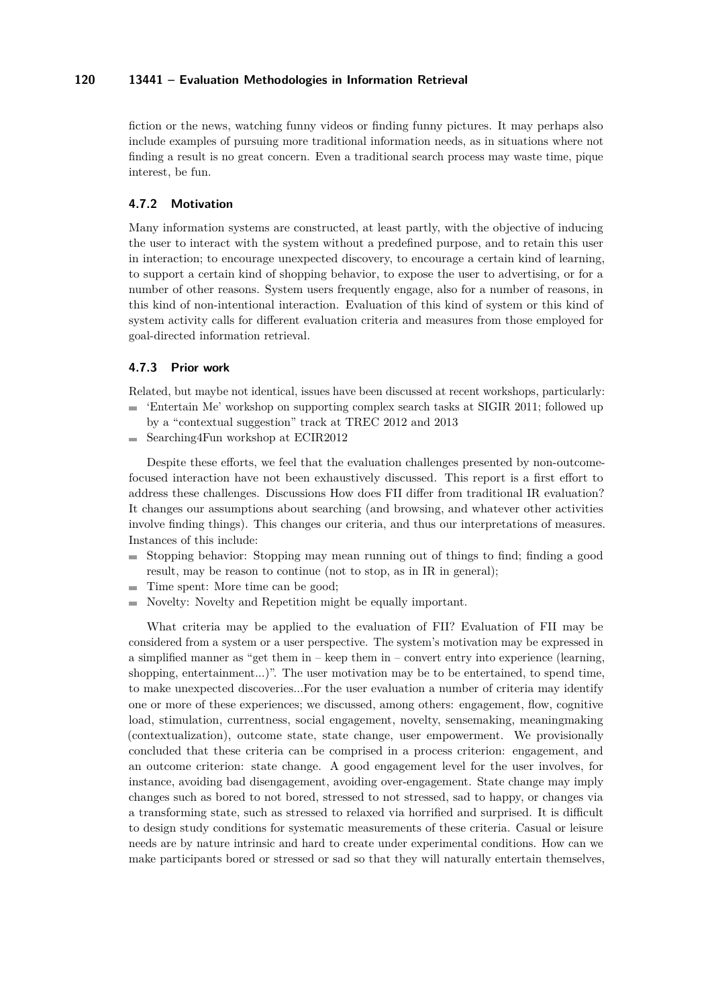fiction or the news, watching funny videos or finding funny pictures. It may perhaps also include examples of pursuing more traditional information needs, as in situations where not finding a result is no great concern. Even a traditional search process may waste time, pique interest, be fun.

# **4.7.2 Motivation**

Many information systems are constructed, at least partly, with the objective of inducing the user to interact with the system without a predefined purpose, and to retain this user in interaction; to encourage unexpected discovery, to encourage a certain kind of learning, to support a certain kind of shopping behavior, to expose the user to advertising, or for a number of other reasons. System users frequently engage, also for a number of reasons, in this kind of non-intentional interaction. Evaluation of this kind of system or this kind of system activity calls for different evaluation criteria and measures from those employed for goal-directed information retrieval.

### **4.7.3 Prior work**

Related, but maybe not identical, issues have been discussed at recent workshops, particularly:

- 'Entertain Me' workshop on supporting complex search tasks at SIGIR 2011; followed up by a "contextual suggestion" track at TREC 2012 and 2013
- $\blacksquare$  Searching4Fun workshop at ECIR2012

Despite these efforts, we feel that the evaluation challenges presented by non-outcomefocused interaction have not been exhaustively discussed. This report is a first effort to address these challenges. Discussions How does FII differ from traditional IR evaluation? It changes our assumptions about searching (and browsing, and whatever other activities involve finding things). This changes our criteria, and thus our interpretations of measures. Instances of this include:

- $\blacksquare$  Stopping behavior: Stopping may mean running out of things to find; finding a good result, may be reason to continue (not to stop, as in IR in general);
- Time spent: More time can be good;  $\sim$
- Novelty: Novelty and Repetition might be equally important.

What criteria may be applied to the evaluation of FII? Evaluation of FII may be considered from a system or a user perspective. The system's motivation may be expressed in a simplified manner as "get them in – keep them in – convert entry into experience (learning, shopping, entertainment...)". The user motivation may be to be entertained, to spend time, to make unexpected discoveries...For the user evaluation a number of criteria may identify one or more of these experiences; we discussed, among others: engagement, flow, cognitive load, stimulation, currentness, social engagement, novelty, sensemaking, meaningmaking (contextualization), outcome state, state change, user empowerment. We provisionally concluded that these criteria can be comprised in a process criterion: engagement, and an outcome criterion: state change. A good engagement level for the user involves, for instance, avoiding bad disengagement, avoiding over-engagement. State change may imply changes such as bored to not bored, stressed to not stressed, sad to happy, or changes via a transforming state, such as stressed to relaxed via horrified and surprised. It is difficult to design study conditions for systematic measurements of these criteria. Casual or leisure needs are by nature intrinsic and hard to create under experimental conditions. How can we make participants bored or stressed or sad so that they will naturally entertain themselves,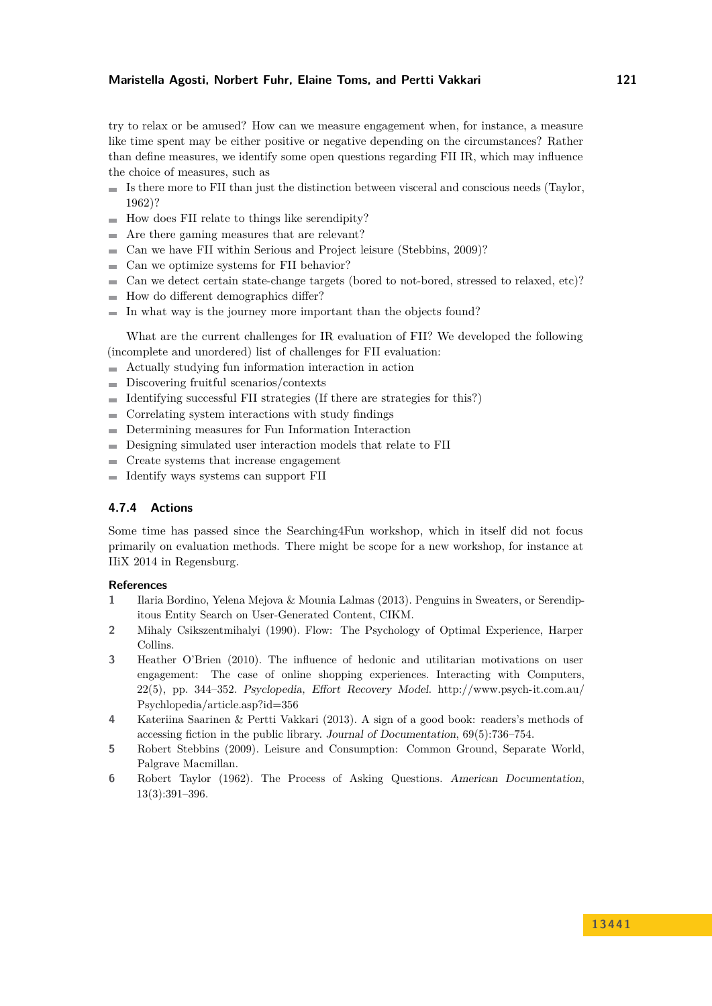# **Maristella Agosti, Norbert Fuhr, Elaine Toms, and Pertti Vakkari 121**

try to relax or be amused? How can we measure engagement when, for instance, a measure like time spent may be either positive or negative depending on the circumstances? Rather than define measures, we identify some open questions regarding FII IR, which may influence the choice of measures, such as

- m. Is there more to FII than just the distinction between visceral and conscious needs (Taylor, 1962)?
- $\blacksquare$  How does FII relate to things like serendipity?
- Are there gaming measures that are relevant?  $\equiv$
- Can we have FII within Serious and Project leisure (Stebbins, 2009)?  $\sim$
- Can we optimize systems for FII behavior?
- Can we detect certain state-change targets (bored to not-bored, stressed to relaxed, etc)?
- $\blacksquare$  How do different demographics differ?
- $\blacksquare$  In what way is the journey more important than the objects found?

What are the current challenges for IR evaluation of FII? We developed the following (incomplete and unordered) list of challenges for FII evaluation:

- Actually studying fun information interaction in action  $\mathcal{L}_{\mathcal{A}}$
- Discovering fruitful scenarios/contexts
- Identifying successful FII strategies (If there are strategies for this?)
- $\blacksquare$  Correlating system interactions with study findings
- Determining measures for Fun Information Interaction
- Designing simulated user interaction models that relate to FII  $\blacksquare$
- Create systems that increase engagement  $\blacksquare$
- Identify ways systems can support FII  $\sim$

# **4.7.4 Actions**

Some time has passed since the Searching4Fun workshop, which in itself did not focus primarily on evaluation methods. There might be scope for a new workshop, for instance at IIiX 2014 in Regensburg.

#### **References**

- **1** Ilaria Bordino, Yelena Mejova & Mounia Lalmas (2013). Penguins in Sweaters, or Serendipitous Entity Search on User-Generated Content, CIKM.
- **2** Mihaly Csikszentmihalyi (1990). Flow: The Psychology of Optimal Experience, Harper Collins.
- **3** Heather O'Brien (2010). The influence of hedonic and utilitarian motivations on user engagement: The case of online shopping experiences. Interacting with Computers, 22(5), pp. 344–352. Psyclopedia, Effort Recovery Model. [http://www.psych-it.com.au/](http://www.psych-it.com.au/Psychlopedia/article.asp?id=356) [Psychlopedia/article.asp?id=356](http://www.psych-it.com.au/Psychlopedia/article.asp?id=356)
- **4** Kateriina Saarinen & Pertti Vakkari (2013). A sign of a good book: readers's methods of accessing fiction in the public library. Journal of Documentation, 69(5):736–754.
- **5** Robert Stebbins (2009). Leisure and Consumption: Common Ground, Separate World, Palgrave Macmillan.
- **6** Robert Taylor (1962). The Process of Asking Questions. American Documentation, 13(3):391–396.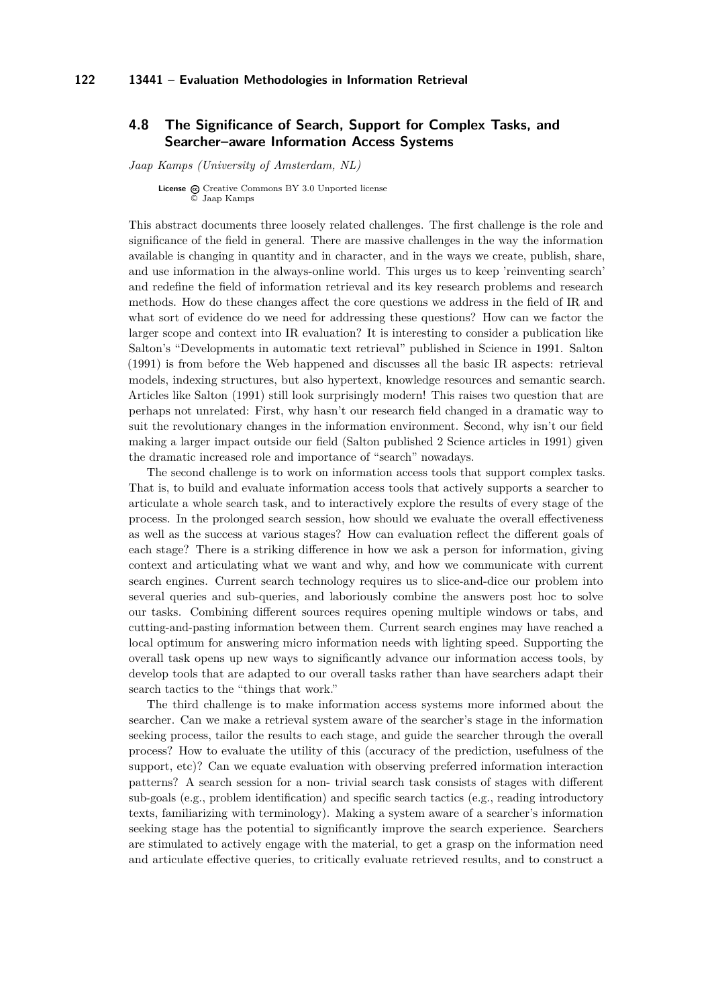# <span id="page-30-0"></span>**4.8 The Significance of Search, Support for Complex Tasks, and Searcher–aware Information Access Systems**

*Jaap Kamps (University of Amsterdam, NL)*

**License** @ [Creative Commons BY 3.0 Unported](http://creativecommons.org/licenses/by/3.0/) license © [Jaap Kamps](#page-30-0)

This abstract documents three loosely related challenges. The first challenge is the role and significance of the field in general. There are massive challenges in the way the information available is changing in quantity and in character, and in the ways we create, publish, share, and use information in the always-online world. This urges us to keep 'reinventing search' and redefine the field of information retrieval and its key research problems and research methods. How do these changes affect the core questions we address in the field of IR and what sort of evidence do we need for addressing these questions? How can we factor the larger scope and context into IR evaluation? It is interesting to consider a publication like Salton's "Developments in automatic text retrieval" published in Science in 1991. Salton (1991) is from before the Web happened and discusses all the basic IR aspects: retrieval models, indexing structures, but also hypertext, knowledge resources and semantic search. Articles like Salton (1991) still look surprisingly modern! This raises two question that are perhaps not unrelated: First, why hasn't our research field changed in a dramatic way to suit the revolutionary changes in the information environment. Second, why isn't our field making a larger impact outside our field (Salton published 2 Science articles in 1991) given the dramatic increased role and importance of "search" nowadays.

The second challenge is to work on information access tools that support complex tasks. That is, to build and evaluate information access tools that actively supports a searcher to articulate a whole search task, and to interactively explore the results of every stage of the process. In the prolonged search session, how should we evaluate the overall effectiveness as well as the success at various stages? How can evaluation reflect the different goals of each stage? There is a striking difference in how we ask a person for information, giving context and articulating what we want and why, and how we communicate with current search engines. Current search technology requires us to slice-and-dice our problem into several queries and sub-queries, and laboriously combine the answers post hoc to solve our tasks. Combining different sources requires opening multiple windows or tabs, and cutting-and-pasting information between them. Current search engines may have reached a local optimum for answering micro information needs with lighting speed. Supporting the overall task opens up new ways to significantly advance our information access tools, by develop tools that are adapted to our overall tasks rather than have searchers adapt their search tactics to the "things that work."

The third challenge is to make information access systems more informed about the searcher. Can we make a retrieval system aware of the searcher's stage in the information seeking process, tailor the results to each stage, and guide the searcher through the overall process? How to evaluate the utility of this (accuracy of the prediction, usefulness of the support, etc)? Can we equate evaluation with observing preferred information interaction patterns? A search session for a non- trivial search task consists of stages with different sub-goals (e.g., problem identification) and specific search tactics (e.g., reading introductory texts, familiarizing with terminology). Making a system aware of a searcher's information seeking stage has the potential to significantly improve the search experience. Searchers are stimulated to actively engage with the material, to get a grasp on the information need and articulate effective queries, to critically evaluate retrieved results, and to construct a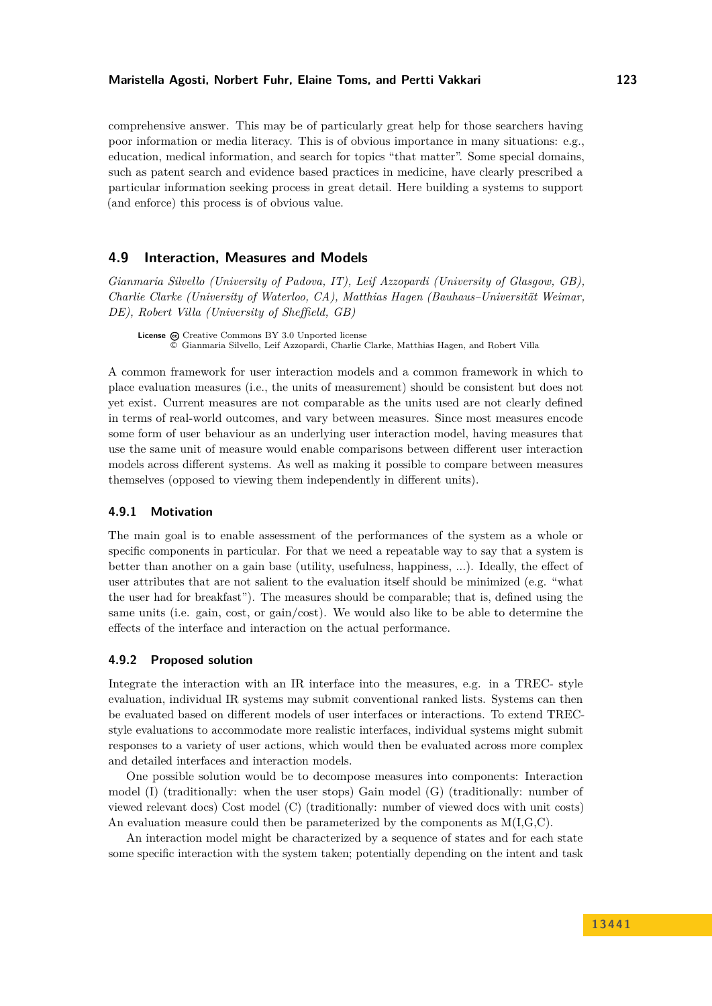#### **Maristella Agosti, Norbert Fuhr, Elaine Toms, and Pertti Vakkari 123**

comprehensive answer. This may be of particularly great help for those searchers having poor information or media literacy. This is of obvious importance in many situations: e.g., education, medical information, and search for topics "that matter". Some special domains, such as patent search and evidence based practices in medicine, have clearly prescribed a particular information seeking process in great detail. Here building a systems to support (and enforce) this process is of obvious value.

# <span id="page-31-0"></span>**4.9 Interaction, Measures and Models**

*Gianmaria Silvello (University of Padova, IT), Leif Azzopardi (University of Glasgow, GB), Charlie Clarke (University of Waterloo, CA), Matthias Hagen (Bauhaus–Universität Weimar, DE), Robert Villa (University of Sheffield, GB)*

License  $\omega$  [Creative Commons BY 3.0 Unported](http://creativecommons.org/licenses/by/3.0/) license © [Gianmaria Silvello, Leif Azzopardi, Charlie Clarke, Matthias Hagen, and Robert Villa](#page-31-0)

A common framework for user interaction models and a common framework in which to place evaluation measures (i.e., the units of measurement) should be consistent but does not yet exist. Current measures are not comparable as the units used are not clearly defined in terms of real-world outcomes, and vary between measures. Since most measures encode some form of user behaviour as an underlying user interaction model, having measures that use the same unit of measure would enable comparisons between different user interaction models across different systems. As well as making it possible to compare between measures themselves (opposed to viewing them independently in different units).

### **4.9.1 Motivation**

The main goal is to enable assessment of the performances of the system as a whole or specific components in particular. For that we need a repeatable way to say that a system is better than another on a gain base (utility, usefulness, happiness, ...). Ideally, the effect of user attributes that are not salient to the evaluation itself should be minimized (e.g. "what the user had for breakfast"). The measures should be comparable; that is, defined using the same units (i.e. gain, cost, or gain/cost). We would also like to be able to determine the effects of the interface and interaction on the actual performance.

### **4.9.2 Proposed solution**

Integrate the interaction with an IR interface into the measures, e.g. in a TREC- style evaluation, individual IR systems may submit conventional ranked lists. Systems can then be evaluated based on different models of user interfaces or interactions. To extend TRECstyle evaluations to accommodate more realistic interfaces, individual systems might submit responses to a variety of user actions, which would then be evaluated across more complex and detailed interfaces and interaction models.

One possible solution would be to decompose measures into components: Interaction model (I) (traditionally: when the user stops) Gain model (G) (traditionally: number of viewed relevant docs) Cost model (C) (traditionally: number of viewed docs with unit costs) An evaluation measure could then be parameterized by the components as  $M(I, G, C)$ .

An interaction model might be characterized by a sequence of states and for each state some specific interaction with the system taken; potentially depending on the intent and task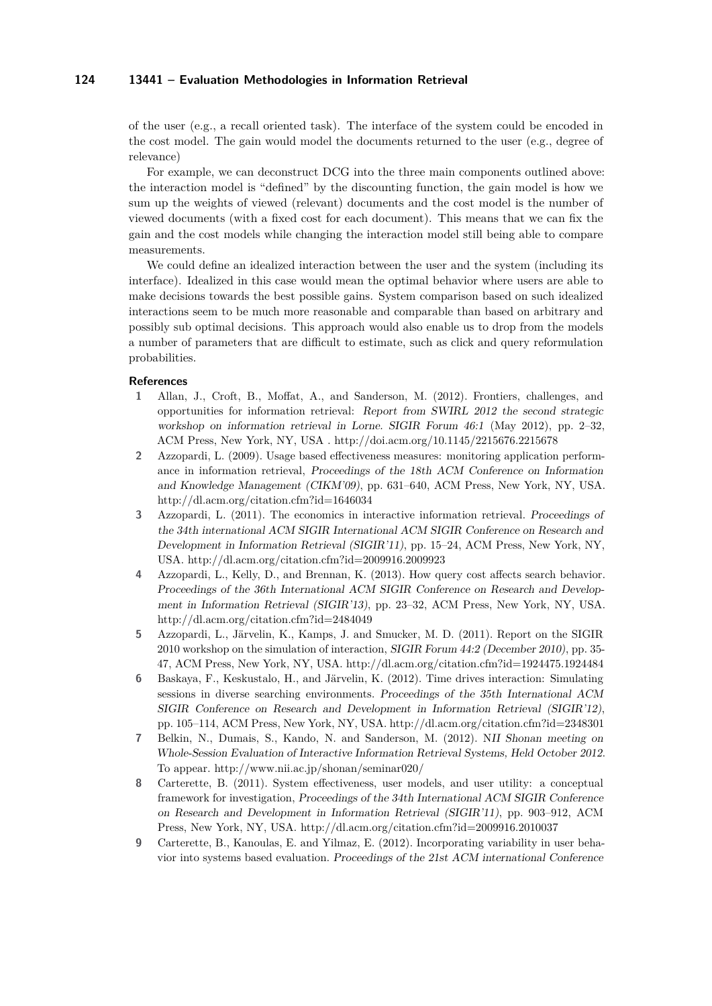of the user (e.g., a recall oriented task). The interface of the system could be encoded in the cost model. The gain would model the documents returned to the user (e.g., degree of relevance)

For example, we can deconstruct DCG into the three main components outlined above: the interaction model is "defined" by the discounting function, the gain model is how we sum up the weights of viewed (relevant) documents and the cost model is the number of viewed documents (with a fixed cost for each document). This means that we can fix the gain and the cost models while changing the interaction model still being able to compare measurements.

We could define an idealized interaction between the user and the system (including its interface). Idealized in this case would mean the optimal behavior where users are able to make decisions towards the best possible gains. System comparison based on such idealized interactions seem to be much more reasonable and comparable than based on arbitrary and possibly sub optimal decisions. This approach would also enable us to drop from the models a number of parameters that are difficult to estimate, such as click and query reformulation probabilities.

#### **References**

- **1** Allan, J., Croft, B., Moffat, A., and Sanderson, M. (2012). Frontiers, challenges, and opportunities for information retrieval: Report from SWIRL 2012 the second strategic workshop on information retrieval in Lorne. SIGIR Forum 46:1 (May 2012), pp. 2–32, ACM Press, New York, NY, USA .<http://doi.acm.org/10.1145/2215676.2215678>
- **2** Azzopardi, L. (2009). Usage based effectiveness measures: monitoring application performance in information retrieval, Proceedings of the 18th ACM Conference on Information and Knowledge Management (CIKM'09), pp. 631–640, ACM Press, New York, NY, USA. <http://dl.acm.org/citation.cfm?id=1646034>
- **3** Azzopardi, L. (2011). The economics in interactive information retrieval. Proceedings of the 34th international ACM SIGIR International ACM SIGIR Conference on Research and Development in Information Retrieval (SIGIR'11), pp. 15–24, ACM Press, New York, NY, USA.<http://dl.acm.org/citation.cfm?id=2009916.2009923>
- **4** Azzopardi, L., Kelly, D., and Brennan, K. (2013). How query cost affects search behavior. Proceedings of the 36th International ACM SIGIR Conference on Research and Development in Information Retrieval (SIGIR'13), pp. 23–32, ACM Press, New York, NY, USA. <http://dl.acm.org/citation.cfm?id=2484049>
- **5** Azzopardi, L., Järvelin, K., Kamps, J. and Smucker, M. D. (2011). Report on the SIGIR 2010 workshop on the simulation of interaction, SIGIR Forum 44:2 (December 2010), pp. 35- 47, ACM Press, New York, NY, USA.<http://dl.acm.org/citation.cfm?id=1924475.1924484>
- **6** Baskaya, F., Keskustalo, H., and Järvelin, K. (2012). Time drives interaction: Simulating sessions in diverse searching environments. Proceedings of the 35th International ACM SIGIR Conference on Research and Development in Information Retrieval (SIGIR'12), pp. 105–114, ACM Press, New York, NY, USA.<http://dl.acm.org/citation.cfm?id=2348301>
- **7** Belkin, N., Dumais, S., Kando, N. and Sanderson, M. (2012). NII Shonan meeting on Whole-Session Evaluation of Interactive Information Retrieval Systems, Held October 2012. To appear.<http://www.nii.ac.jp/shonan/seminar020/>
- **8** Carterette, B. (2011). System effectiveness, user models, and user utility: a conceptual framework for investigation, Proceedings of the 34th International ACM SIGIR Conference on Research and Development in Information Retrieval (SIGIR'11), pp. 903–912, ACM Press, New York, NY, USA.<http://dl.acm.org/citation.cfm?id=2009916.2010037>
- **9** Carterette, B., Kanoulas, E. and Yilmaz, E. (2012). Incorporating variability in user behavior into systems based evaluation. Proceedings of the 21st ACM international Conference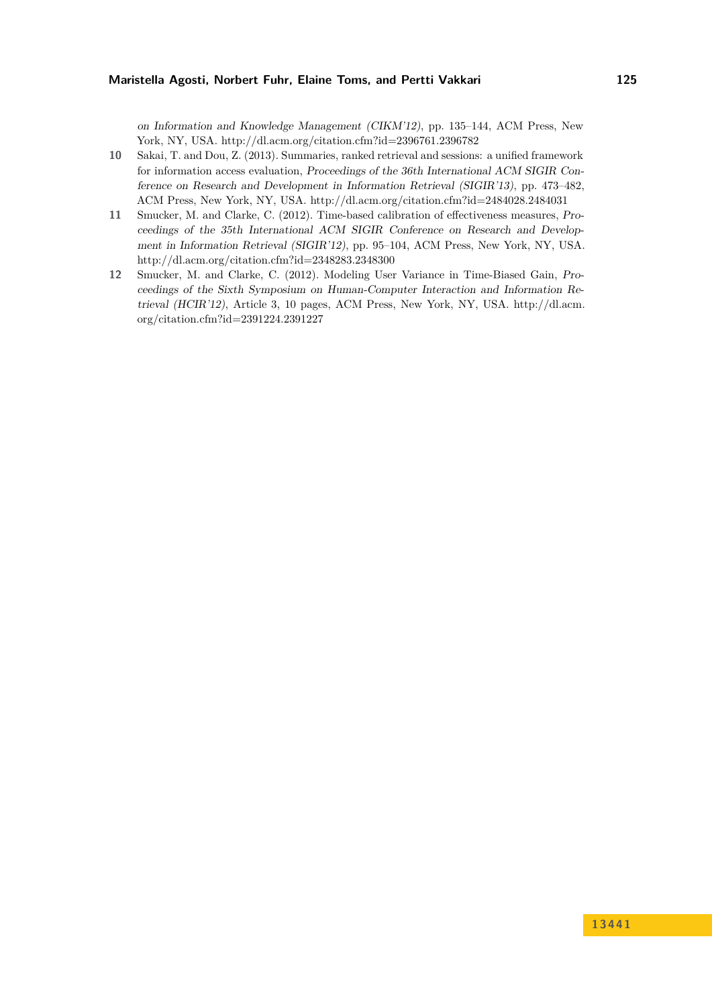on Information and Knowledge Management (CIKM'12), pp. 135–144, ACM Press, New York, NY, USA.<http://dl.acm.org/citation.cfm?id=2396761.2396782>

- **10** Sakai, T. and Dou, Z. (2013). Summaries, ranked retrieval and sessions: a unified framework for information access evaluation, Proceedings of the 36th International ACM SIGIR Conference on Research and Development in Information Retrieval (SIGIR'13), pp. 473–482, ACM Press, New York, NY, USA.<http://dl.acm.org/citation.cfm?id=2484028.2484031>
- **11** Smucker, M. and Clarke, C. (2012). Time-based calibration of effectiveness measures, Proceedings of the 35th International ACM SIGIR Conference on Research and Development in Information Retrieval (SIGIR'12), pp. 95–104, ACM Press, New York, NY, USA. <http://dl.acm.org/citation.cfm?id=2348283.2348300>
- **12** Smucker, M. and Clarke, C. (2012). Modeling User Variance in Time-Biased Gain, Proceedings of the Sixth Symposium on Human-Computer Interaction and Information Retrieval (HCIR'12), Article 3, 10 pages, ACM Press, New York, NY, USA. [http://dl.acm.](http://dl.acm.org/citation.cfm?id=2391224.2391227) [org/citation.cfm?id=2391224.2391227](http://dl.acm.org/citation.cfm?id=2391224.2391227)